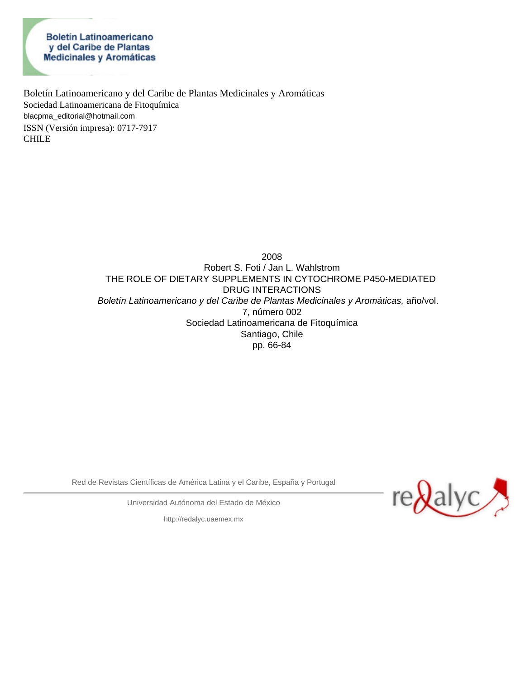**Boletín Latinoamericano** y del Caribe de Plantas Medicinales y Aromáticas

Boletín Latinoamericano y del Caribe de Plantas Medicinales y Aromáticas Sociedad Latinoamericana de Fitoquímica [blacpma\\_editorial@hotmail.com](mailto:blacpma_editorial@hotmail.com) ISSN (Versión impresa): 0717-7917 CHILE

> 2008 Robert S. Foti / Jan L. Wahlstrom THE ROLE OF DIETARY SUPPLEMENTS IN CYTOCHROME P450-MEDIATED DRUG INTERACTIONS *Boletín Latinoamericano y del Caribe de Plantas Medicinales y Aromáticas,* año/vol. 7, número 002 Sociedad Latinoamericana de Fitoquímica Santiago, Chile pp. 66-84

Red de Revistas Científicas de América Latina y el Caribe, España y Portugal



Universidad Autónoma del Estado de México

[http://redalyc.uaemex.mx](http://redalyc.uaemex.mx/)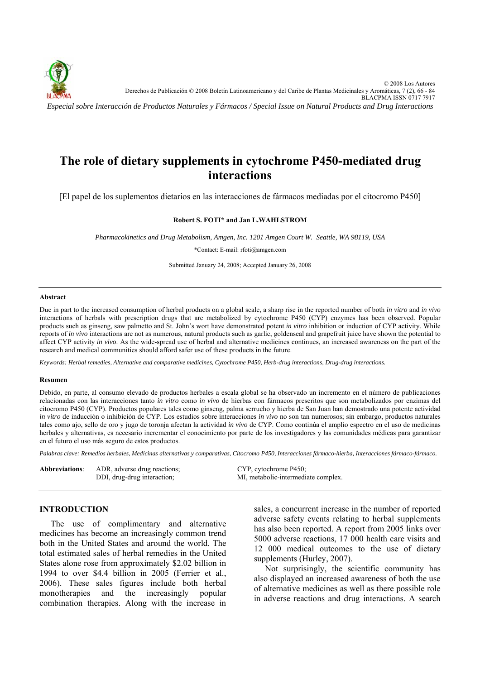

# **The role of dietary supplements in cytochrome P450-mediated drug interactions**

[El papel de los suplementos dietarios en las interacciones de fármacos mediadas por el citocromo P450]

#### **Robert S. FOTI\* and Jan L.WAHLSTROM**

*Pharmacokinetics and Drug Metabolism, Amgen, Inc. 1201 Amgen Court W. Seattle, WA 98119, USA* 

\*Contact: E-mail: rfoti@amgen.com

Submitted January 24, 2008; Accepted January 26, 2008

#### **Abstract**

Due in part to the increased consumption of herbal products on a global scale, a sharp rise in the reported number of both *in vitro* and *in vivo* interactions of herbals with prescription drugs that are metabolized by cytochrome P450 (CYP) enzymes has been observed. Popular products such as ginseng, saw palmetto and St. John's wort have demonstrated potent *in vitro* inhibition or induction of CYP activity. While reports of *in vivo* interactions are not as numerous, natural products such as garlic, goldenseal and grapefruit juice have shown the potential to affect CYP activity *in vivo*. As the wide-spread use of herbal and alternative medicines continues, an increased awareness on the part of the research and medical communities should afford safer use of these products in the future.

*Keywords: Herbal remedies, Alternative and comparative medicines, Cytochrome P450, Herb-drug interactions, Drug-drug interactions.* 

#### **Resumen**

Debido, en parte, al consumo elevado de productos herbales a escala global se ha observado un incremento en el número de publicaciones relacionadas con las interacciones tanto *in vitro* como *in vivo* de hierbas con fármacos prescritos que son metabolizados por enzimas del citocromo P450 (CYP). Productos populares tales como ginseng, palma serrucho y hierba de San Juan han demostrado una potente actividad *in vitro* de inducción o inhibición de CYP. Los estudios sobre interacciones *in vivo* no son tan numerosos; sin embargo, productos naturales tales como ajo, sello de oro y jugo de toronja afectan la actividad *in vivo* de CYP. Como continúa el amplio espectro en el uso de medicinas herbales y alternativas, es necesario incrementar el conocimiento por parte de los investigadores y las comunidades médicas para garantizar en el futuro el uso más seguro de estos productos.

*Palabras clave: Remedios herbales, Medicinas alternativas y comparativas, Citocromo P450, Interacciones fármaco-hierba, Interacciones fármaco-fármaco.* 

| <b>Abbreviations</b> : | ADR, adverse drug reactions; | CYP, cytochrome P450;               |
|------------------------|------------------------------|-------------------------------------|
|                        | DDI, drug-drug interaction;  | MI, metabolic-intermediate complex. |

#### **INTRODUCTION**

The use of complimentary and alternative medicines has become an increasingly common trend both in the United States and around the world. The total estimated sales of herbal remedies in the United States alone rose from approximately \$2.02 billion in 1994 to over \$4.4 billion in 2005 (Ferrier et al., 2006). These sales figures include both herbal monotherapies and the increasingly popular combination therapies. Along with the increase in sales, a concurrent increase in the number of reported adverse safety events relating to herbal supplements has also been reported. A report from 2005 links over 5000 adverse reactions, 17 000 health care visits and 12 000 medical outcomes to the use of dietary supplements (Hurley, 2007).

Not surprisingly, the scientific community has also displayed an increased awareness of both the use of alternative medicines as well as there possible role in adverse reactions and drug interactions. A search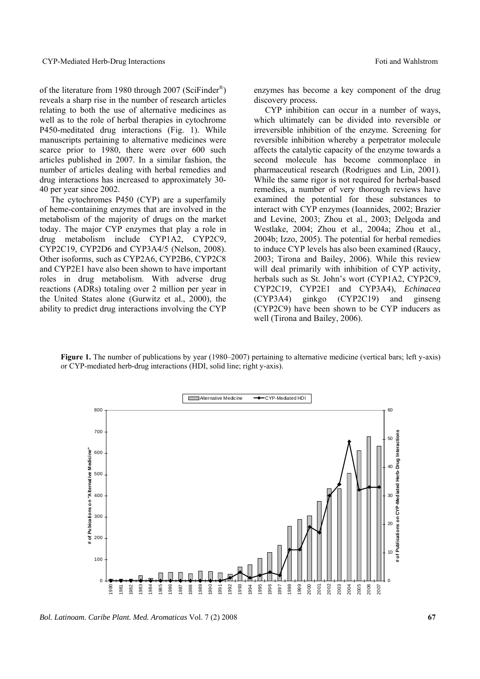of the literature from 1980 through 2007 (SciFinder®) reveals a sharp rise in the number of research articles relating to both the use of alternative medicines as well as to the role of herbal therapies in cytochrome P450-meditated drug interactions (Fig. 1). While manuscripts pertaining to alternative medicines were scarce prior to 1980, there were over 600 such articles published in 2007. In a similar fashion, the number of articles dealing with herbal remedies and drug interactions has increased to approximately 30- 40 per year since 2002.

The cytochromes P450 (CYP) are a superfamily of heme-containing enzymes that are involved in the metabolism of the majority of drugs on the market today. The major CYP enzymes that play a role in drug metabolism include CYP1A2, CYP2C9, CYP2C19, CYP2D6 and CYP3A4/5 (Nelson, 2008). Other isoforms, such as CYP2A6, CYP2B6, CYP2C8 and CYP2E1 have also been shown to have important roles in drug metabolism. With adverse drug reactions (ADRs) totaling over 2 million per year in the United States alone (Gurwitz et al., 2000), the ability to predict drug interactions involving the CYP

enzymes has become a key component of the drug discovery process.

CYP inhibition can occur in a number of ways, which ultimately can be divided into reversible or irreversible inhibition of the enzyme. Screening for reversible inhibition whereby a perpetrator molecule affects the catalytic capacity of the enzyme towards a second molecule has become commonplace in pharmaceutical research (Rodrigues and Lin, 2001). While the same rigor is not required for herbal-based remedies, a number of very thorough reviews have examined the potential for these substances to interact with CYP enzymes (Ioannides, 2002; Brazier and Levine, 2003; Zhou et al., 2003; Delgoda and Westlake, 2004; Zhou et al., 2004a; Zhou et al., 2004b; Izzo, 2005). The potential for herbal remedies to induce CYP levels has also been examined (Raucy, 2003; Tirona and Bailey, 2006). While this review will deal primarily with inhibition of CYP activity, herbals such as St. John's wort (CYP1A2, CYP2C9, CYP2C19, CYP2E1 and CYP3A4), *Echinacea* (CYP3A4) ginkgo (CYP2C19) and ginseng (CYP2C9) have been shown to be CYP inducers as well (Tirona and Bailey, 2006).

Figure 1. The number of publications by year (1980–2007) pertaining to alternative medicine (vertical bars; left y-axis) or CYP-mediated herb-drug interactions (HDI, solid line; right y-axis).



*Bol. Latinoam. Caribe Plant. Med. Aromaticas* Vol. 7 (2) 2008 **67**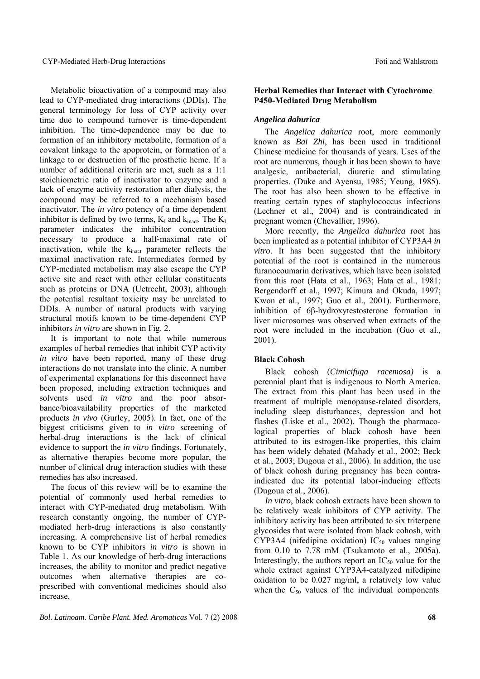Metabolic bioactivation of a compound may also lead to CYP-mediated drug interactions (DDIs). The general terminology for loss of CYP activity over time due to compound turnover is time-dependent inhibition. The time-dependence may be due to formation of an inhibitory metabolite, formation of a covalent linkage to the apoprotein, or formation of a linkage to or destruction of the prosthetic heme. If a number of additional criteria are met, such as a 1:1 stoichiometric ratio of inactivator to enzyme and a lack of enzyme activity restoration after dialysis, the compound may be referred to a mechanism based inactivator. The *in vitro* potency of a time dependent inhibitor is defined by two terms,  $K_I$  and  $k_{\text{inact}}$ . The  $K_I$ parameter indicates the inhibitor concentration necessary to produce a half-maximal rate of inactivation, while the  $k_{\text{inact}}$  parameter reflects the maximal inactivation rate. Intermediates formed by CYP-mediated metabolism may also escape the CYP active site and react with other cellular constituents such as proteins or DNA (Uetrecht, 2003), although the potential resultant toxicity may be unrelated to DDIs. A number of natural products with varying structural motifs known to be time-dependent CYP inhibitors *in vitro* are shown in Fig. 2.

It is important to note that while numerous examples of herbal remedies that inhibit CYP activity *in vitro* have been reported, many of these drug interactions do not translate into the clinic. A number of experimental explanations for this disconnect have been proposed, including extraction techniques and solvents used *in vitro* and the poor absorbance/bioavailability properties of the marketed products *in vivo* (Gurley, 2005). In fact, one of the biggest criticisms given to *in vitro* screening of herbal-drug interactions is the lack of clinical evidence to support the *in vitro* findings. Fortunately, as alternative therapies become more popular, the number of clinical drug interaction studies with these remedies has also increased.

The focus of this review will be to examine the potential of commonly used herbal remedies to interact with CYP-mediated drug metabolism. With research constantly ongoing, the number of CYPmediated herb-drug interactions is also constantly increasing. A comprehensive list of herbal remedies known to be CYP inhibitors *in vitro* is shown in Table 1. As our knowledge of herb-drug interactions increases, the ability to monitor and predict negative outcomes when alternative therapies are coprescribed with conventional medicines should also increase.

### **Herbal Remedies that Interact with Cytochrome P450-Mediated Drug Metabolism**

# *Angelica dahurica*

The *Angelica dahurica* root, more commonly known as *Bai Zhi*, has been used in traditional Chinese medicine for thousands of years. Uses of the root are numerous, though it has been shown to have analgesic, antibacterial, diuretic and stimulating properties. (Duke and Ayensu, 1985; Yeung, 1985). The root has also been shown to be effective in treating certain types of staphylococcus infections (Lechner et al., 2004) and is contraindicated in pregnant women (Chevallier, 1996).

More recently, the *Angelica dahurica* root has been implicated as a potential inhibitor of CYP3A4 *in vitro*. It has been suggested that the inhibitory potential of the root is contained in the numerous furanocoumarin derivatives, which have been isolated from this root (Hata et al., 1963; Hata et al., 1981; Bergendorff et al., 1997; Kimura and Okuda, 1997; Kwon et al., 1997; Guo et al., 2001). Furthermore, inhibition of 6β-hydroxytestosterone formation in liver microsomes was observed when extracts of the root were included in the incubation (Guo et al., 2001).

# **Black Cohosh**

Black cohosh (*Cimicifuga racemosa)* is a perennial plant that is indigenous to North America. The extract from this plant has been used in the treatment of multiple menopause-related disorders, including sleep disturbances, depression and hot flashes (Liske et al., 2002). Though the pharmacological properties of black cohosh have been attributed to its estrogen-like properties, this claim has been widely debated (Mahady et al., 2002; Beck et al., 2003; Dugoua et al., 2006). In addition, the use of black cohosh during pregnancy has been contraindicated due its potential labor-inducing effects (Dugoua et al., 2006).

*In vitro*, black cohosh extracts have been shown to be relatively weak inhibitors of CYP activity. The inhibitory activity has been attributed to six triterpene glycosides that were isolated from black cohosh, with CYP3A4 (nifedipine oxidation)  $IC_{50}$  values ranging from 0.10 to 7.78 mM (Tsukamoto et al., 2005a). Interestingly, the authors report an  $IC_{50}$  value for the whole extract against CYP3A4-catalyzed nifedipine oxidation to be 0.027 mg/ml, a relatively low value when the  $C_{50}$  values of the individual components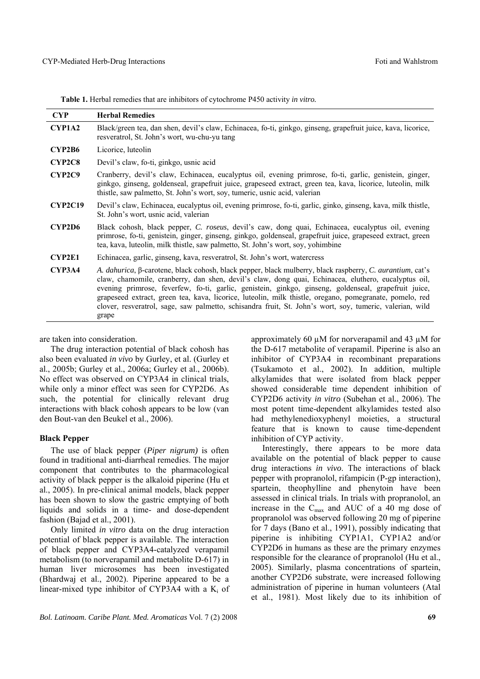|  | Table 1. Herbal remedies that are inhibitors of cytochrome P450 activity in vitro. |  |  |
|--|------------------------------------------------------------------------------------|--|--|
|--|------------------------------------------------------------------------------------|--|--|

| <b>CYP</b>     | <b>Herbal Remedies</b>                                                                                                                                                                                                                                                                                                                                                                                                                                                                                                                                   |
|----------------|----------------------------------------------------------------------------------------------------------------------------------------------------------------------------------------------------------------------------------------------------------------------------------------------------------------------------------------------------------------------------------------------------------------------------------------------------------------------------------------------------------------------------------------------------------|
| <b>CYP1A2</b>  | Black/green tea, dan shen, devil's claw, Echinacea, fo-ti, ginkgo, ginseng, grapefruit juice, kava, licorice,<br>resveratrol, St. John's wort, wu-chu-yu tang                                                                                                                                                                                                                                                                                                                                                                                            |
| <b>CYP2B6</b>  | Licorice, luteolin                                                                                                                                                                                                                                                                                                                                                                                                                                                                                                                                       |
| CYP2C8         | Devil's claw, fo-ti, ginkgo, usnic acid                                                                                                                                                                                                                                                                                                                                                                                                                                                                                                                  |
| CYP2C9         | Cranberry, devil's claw, Echinacea, eucalyptus oil, evening primrose, fo-ti, garlic, genistein, ginger,<br>ginkgo, ginseng, goldenseal, grapefruit juice, grapeseed extract, green tea, kava, licorice, luteolin, milk<br>thistle, saw palmetto, St. John's wort, soy, tumeric, usnic acid, valerian                                                                                                                                                                                                                                                     |
| <b>CYP2C19</b> | Devil's claw, Echinacea, eucalyptus oil, evening primrose, fo-ti, garlic, ginko, ginseng, kava, milk thistle,<br>St. John's wort, usnic acid, valerian                                                                                                                                                                                                                                                                                                                                                                                                   |
| CYP2D6         | Black cohosh, black pepper, C. roseus, devil's caw, dong quai, Echinacea, eucalyptus oil, evening<br>primrose, fo-ti, genistein, ginger, ginseng, ginkgo, goldenseal, grapefruit juice, grapeseed extract, green<br>tea, kava, luteolin, milk thistle, saw palmetto, St. John's wort, soy, yohimbine                                                                                                                                                                                                                                                     |
| CYP2E1         | Echinacea, garlic, ginseng, kava, resveratrol, St. John's wort, watercress                                                                                                                                                                                                                                                                                                                                                                                                                                                                               |
| CYP3A4         | A. dahurica, β-carotene, black cohosh, black pepper, black mulberry, black raspberry, C. aurantium, cat's<br>claw, chamomile, cranberry, dan shen, devil's claw, dong quai, Echinacea, eluthero, eucalyptus oil,<br>evening primrose, feverfew, fo-ti, garlic, genistein, ginkgo, ginseng, goldenseal, grapefruit juice,<br>grapeseed extract, green tea, kava, licorice, luteolin, milk thistle, oregano, pomegranate, pomelo, red<br>clover, resveratrol, sage, saw palmetto, schisandra fruit, St. John's wort, soy, tumeric, valerian, wild<br>grape |

are taken into consideration.

The drug interaction potential of black cohosh has also been evaluated *in vivo* by Gurley, et al. (Gurley et al., 2005b; Gurley et al., 2006a; Gurley et al., 2006b). No effect was observed on CYP3A4 in clinical trials, while only a minor effect was seen for CYP2D6. As such, the potential for clinically relevant drug interactions with black cohosh appears to be low (van den Bout-van den Beukel et al., 2006).

#### **Black Pepper**

The use of black pepper (*Piper nigrum)* is often found in traditional anti-diarrheal remedies. The major component that contributes to the pharmacological activity of black pepper is the alkaloid piperine (Hu et al., 2005). In pre-clinical animal models, black pepper has been shown to slow the gastric emptying of both liquids and solids in a time- and dose-dependent fashion (Bajad et al., 2001).

Only limited *in vitro* data on the drug interaction potential of black pepper is available. The interaction of black pepper and CYP3A4-catalyzed verapamil metabolism (to norverapamil and metabolite D-617) in human liver microsomes has been investigated (Bhardwaj et al., 2002). Piperine appeared to be a linear-mixed type inhibitor of CYP3A4 with a  $K_i$  of

*Bol. Latinoam. Caribe Plant. Med. Aromaticas* Vol. 7 (2) 2008 **69**

approximately 60 µM for norverapamil and 43 µM for the D-617 metabolite of verapamil. Piperine is also an inhibitor of CYP3A4 in recombinant preparations (Tsukamoto et al., 2002). In addition, multiple alkylamides that were isolated from black pepper showed considerable time dependent inhibition of CYP2D6 activity *in vitro* (Subehan et al., 2006). The most potent time-dependent alkylamides tested also had methylenedioxyphenyl moieties, a structural feature that is known to cause time-dependent inhibition of CYP activity.

Interestingly, there appears to be more data available on the potential of black pepper to cause drug interactions *in vivo*. The interactions of black pepper with propranolol, rifampicin (P-gp interaction), spartein, theophylline and phenytoin have been assessed in clinical trials. In trials with propranolol, an increase in the  $C_{\text{max}}$  and AUC of a 40 mg dose of propranolol was observed following 20 mg of piperine for 7 days (Bano et al., 1991), possibly indicating that piperine is inhibiting CYP1A1, CYP1A2 and/or CYP2D6 in humans as these are the primary enzymes responsible for the clearance of propranolol (Hu et al., 2005). Similarly, plasma concentrations of spartein, another CYP2D6 substrate, were increased following administration of piperine in human volunteers (Atal et al., 1981). Most likely due to its inhibition of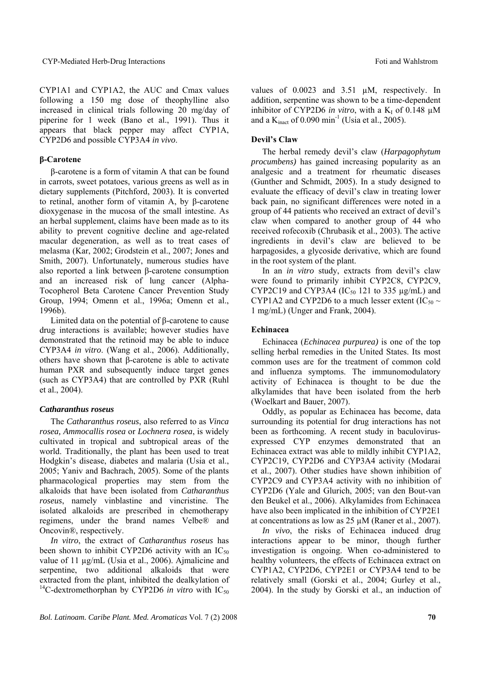CYP1A1 and CYP1A2, the AUC and Cmax values following a 150 mg dose of theophylline also increased in clinical trials following 20 mg/day of piperine for 1 week (Bano et al., 1991). Thus it appears that black pepper may affect CYP1A, CYP2D6 and possible CYP3A4 *in vivo*.

# **β-Carotene**

β-carotene is a form of vitamin A that can be found in carrots, sweet potatoes, various greens as well as in dietary supplements (Pitchford, 2003). It is converted to retinal, another form of vitamin A, by β-carotene dioxygenase in the mucosa of the small intestine. As an herbal supplement, claims have been made as to its ability to prevent cognitive decline and age-related macular degeneration, as well as to treat cases of melasma (Kar, 2002; Grodstein et al., 2007; Jones and Smith, 2007). Unfortunately, numerous studies have also reported a link between β-carotene consumption and an increased risk of lung cancer (Alpha-Tocopherol Beta Carotene Cancer Prevention Study Group, 1994; Omenn et al., 1996a; Omenn et al., 1996b).

Limited data on the potential of β-carotene to cause drug interactions is available; however studies have demonstrated that the retinoid may be able to induce CYP3A4 *in vitro*. (Wang et al., 2006). Additionally, others have shown that β-carotene is able to activate human PXR and subsequently induce target genes (such as CYP3A4) that are controlled by PXR (Ruhl et al., 2004).

# *Catharanthus roseus*

The *Catharanthus roseus*, also referred to as *Vinca rosea, Ammocallis rosea* or *Lochnera rosea*, is widely cultivated in tropical and subtropical areas of the world. Traditionally, the plant has been used to treat Hodgkin's disease, diabetes and malaria (Usia et al., 2005; Yaniv and Bachrach, 2005). Some of the plants pharmacological properties may stem from the alkaloids that have been isolated from *Catharanthus roseus*, namely vinblastine and vincristine. The isolated alkaloids are prescribed in chemotherapy regimens, under the brand names Velbe® and Oncovin®, respectively.

*In vitro*, the extract of *Catharanthus roseus* has been shown to inhibit CYP2D6 activity with an  $IC_{50}$ value of 11 µg/mL (Usia et al., 2006). Ajmalicine and serpentine, two additional alkaloids that were extracted from the plant, inhibited the dealkylation of <sup>14</sup>C-dextromethorphan by CYP2D6 *in vitro* with  $IC_{50}$  values of 0.0023 and 3.51 µM, respectively. In addition, serpentine was shown to be a time-dependent inhibitor of CYP2D6 *in vitro*, with a  $K_I$  of 0.148  $\mu$ M and a  $K<sub>inact</sub>$  of 0.090 min<sup>-1</sup> (Usia et al., 2005).

#### **Devil's Claw**

The herbal remedy devil's claw (*Harpagophytum procumbens)* has gained increasing popularity as an analgesic and a treatment for rheumatic diseases (Gunther and Schmidt, 2005). In a study designed to evaluate the efficacy of devil's claw in treating lower back pain, no significant differences were noted in a group of 44 patients who received an extract of devil's claw when compared to another group of 44 who received rofecoxib (Chrubasik et al., 2003). The active ingredients in devil's claw are believed to be harpagosides, a glycoside derivative, which are found in the root system of the plant.

In an *in vitro* study, extracts from devil's claw were found to primarily inhibit CYP2C8, CYP2C9, CYP2C19 and CYP3A4 (IC $_{50}$  121 to 335 µg/mL) and CYP1A2 and CYP2D6 to a much lesser extent (IC<sub>50</sub>  $\sim$ 1 mg/mL) (Unger and Frank, 2004).

#### **Echinacea**

Echinacea (*Echinacea purpurea)* is one of the top selling herbal remedies in the United States. Its most common uses are for the treatment of common cold and influenza symptoms. The immunomodulatory activity of Echinacea is thought to be due the alkylamides that have been isolated from the herb (Woelkart and Bauer, 2007).

Oddly, as popular as Echinacea has become, data surrounding its potential for drug interactions has not been as forthcoming. A recent study in baculovirusexpressed CYP enzymes demonstrated that an Echinacea extract was able to mildly inhibit CYP1A2, CYP2C19, CYP2D6 and CYP3A4 activity (Modarai et al., 2007). Other studies have shown inhibition of CYP2C9 and CYP3A4 activity with no inhibition of CYP2D6 (Yale and Glurich, 2005; van den Bout-van den Beukel et al., 2006). Alkylamides from Echinacea have also been implicated in the inhibition of CYP2E1 at concentrations as low as  $25 \mu M$  (Raner et al., 2007).

*In vivo*, the risks of Echinacea induced drug interactions appear to be minor, though further investigation is ongoing. When co-administered to healthy volunteers, the effects of Echinacea extract on CYP1A2, CYP2D6, CYP2E1 or CYP3A4 tend to be relatively small (Gorski et al., 2004; Gurley et al., 2004). In the study by Gorski et al., an induction of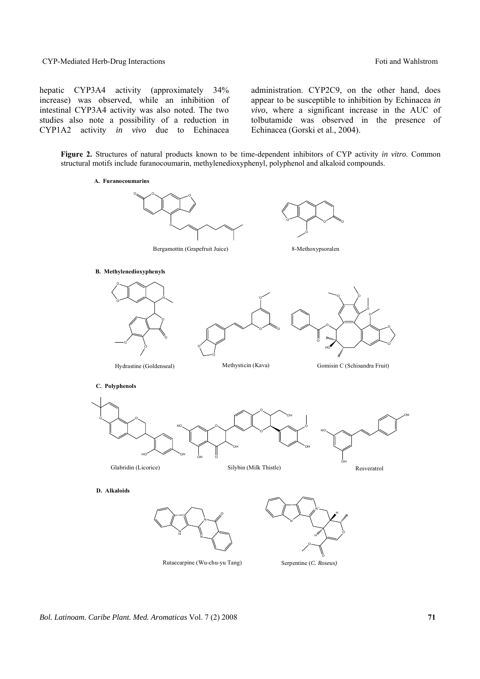CYP-Mediated Herb-Drug Interactions **Foundations** Foti and Wahlstrom

hepatic CYP3A4 activity (approximately 34% increase) was observed, while an inhibition of intestinal CYP3A4 activity was also noted. The two studies also note a possibility of a reduction in CYP1A2 activity *in vivo* due to Echinacea administration. CYP2C9, on the other hand, does appear to be susceptible to inhibition by Echinacea *in vivo*, where a significant increase in the AUC of tolbutamide was observed in the presence of Echinacea (Gorski et al., 2004).

**Figure 2.** Structures of natural products known to be time-dependent inhibitors of CYP activity *in vitro*. Common structural motifs include furanocoumarin, methylenedioxyphenyl, polyphenol and alkaloid compounds.



Rutaecarpine (Wu-chu-yu Tang)

Serpentine (*C. Roseus)*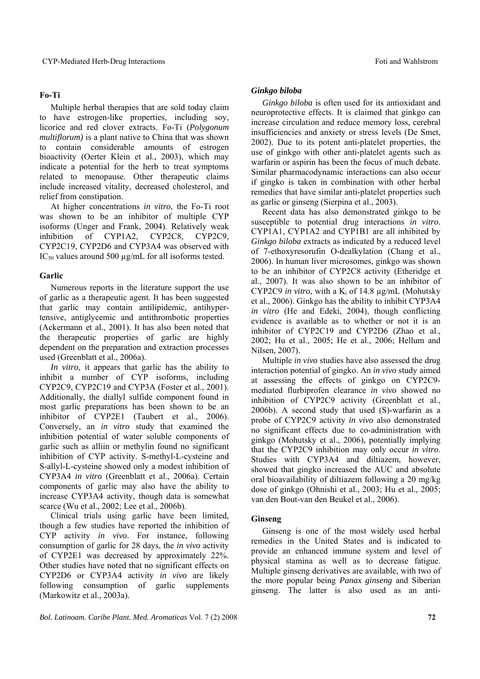# **Fo-Ti**

Multiple herbal therapies that are sold today claim to have estrogen-like properties, including soy, licorice and red clover extracts. Fo-Ti (*Polygonum multiflorum)* is a plant native to China that was shown to contain considerable amounts of estrogen bioactivity (Oerter Klein et al., 2003), which may indicate a potential for the herb to treat symptoms related to menopause. Other therapeutic claims include increased vitality, decreased cholesterol, and relief from constipation.

At higher concentrations *in vitro*, the Fo-Ti root was shown to be an inhibitor of multiple CYP isoforms (Unger and Frank, 2004). Relatively weak inhibition of CYP1A2, CYP2C8, CYP2C9, CYP2C19, CYP2D6 and CYP3A4 was observed with IC<sub>50</sub> values around 500  $\mu$ g/mL for all isoforms tested.

# **Garlic**

Numerous reports in the literature support the use of garlic as a therapeutic agent. It has been suggested that garlic may contain antilipidemic, antihypertensive, antiglycemic and antithrombotic properties (Ackermann et al., 2001). It has also been noted that the therapeutic properties of garlic are highly dependent on the preparation and extraction processes used (Greenblatt et al., 2006a).

*In vitro*, it appears that garlic has the ability to inhibit a number of CYP isoforms, including CYP2C9, CYP2C19 and CYP3A (Foster et al., 2001). Additionally, the diallyl sulfide component found in most garlic preparations has been shown to be an inhibitor of CYP2E1 (Taubert et al., 2006). Conversely, an *in vitro* study that examined the inhibition potential of water soluble components of garlic such as alliin or methylin found no significant inhibition of CYP activity. S-methyl-L-cysteine and S-allyl-L-cysteine showed only a modest inhibition of CYP3A4 *in vitro* (Greenblatt et al., 2006a). Certain components of garlic may also have the ability to increase CYP3A4 activity, though data is somewhat scarce (Wu et al., 2002; Lee et al., 2006b).

Clinical trials using garlic have been limited, though a few studies have reported the inhibition of CYP activity *in vivo*. For instance, following consumption of garlic for 28 days, the *in vivo* activity of CYP2E1 was decreased by approximately 22%. Other studies have noted that no significant effects on CYP2D6 or CYP3A4 activity *in vivo* are likely following consumption of garlic supplements (Markowitz et al., 2003a).

# *Ginkgo biloba*

*Ginkgo biloba* is often used for its antioxidant and neuroprotective effects. It is claimed that ginkgo can increase circulation and reduce memory loss, cerebral insufficiencies and anxiety or stress levels (De Smet, 2002). Due to its potent anti-platelet properties, the use of ginkgo with other anti-platelet agents such as warfarin or aspirin has been the focus of much debate. Similar pharmacodynamic interactions can also occur if gingko is taken in combination with other herbal remedies that have similar anti-platelet properties such as garlic or ginseng (Sierpina et al., 2003).

Recent data has also demonstrated ginkgo to be susceptible to potential drug interactions *in vitro*. CYP1A1, CYP1A2 and CYP1B1 are all inhibited by *Ginkgo biloba* extracts as indicated by a reduced level of 7-ethoxyresorufin O-dealkylation (Chang et al., 2006). In human liver microsomes, ginkgo was shown to be an inhibitor of CYP2C8 activity (Etheridge et al., 2007). It was also shown to be an inhibitor of CYP2C9 *in vitro*, with a  $K_i$  of 14.8  $\mu$ g/mL (Mohutsky et al., 2006). Ginkgo has the ability to inhibit CYP3A4 *in vitro* (He and Edeki, 2004), though conflicting evidence is available as to whether or not it is an inhibitor of CYP2C19 and CYP2D6 (Zhao et al., 2002; Hu et al., 2005; He et al., 2006; Hellum and Nilsen, 2007).

Multiple *in vivo* studies have also assessed the drug interaction potential of gingko. An *in vivo* study aimed at assessing the effects of ginkgo on CYP2C9 mediated flurbiprofen clearance *in vivo* showed no inhibition of CYP2C9 activity (Greenblatt et al., 2006b). A second study that used (S)-warfarin as a probe of CYP2C9 activity *in vivo* also demonstrated no significant effects due to co-administration with ginkgo (Mohutsky et al., 2006), potentially implying that the CYP2C9 inhibition may only occur *in vitro*. Studies with CYP3A4 and diltiazem, however, showed that gingko increased the AUC and absolute oral bioavailability of diltiazem following a 20 mg/kg dose of ginkgo (Ohnishi et al., 2003; Hu et al., 2005; van den Bout-van den Beukel et al., 2006).

# **Ginseng**

Ginseng is one of the most widely used herbal remedies in the United States and is indicated to provide an enhanced immune system and level of physical stamina as well as to decrease fatigue. Multiple ginseng derivatives are available, with two of the more popular being *Panax ginseng* and Siberian ginseng. The latter is also used as an anti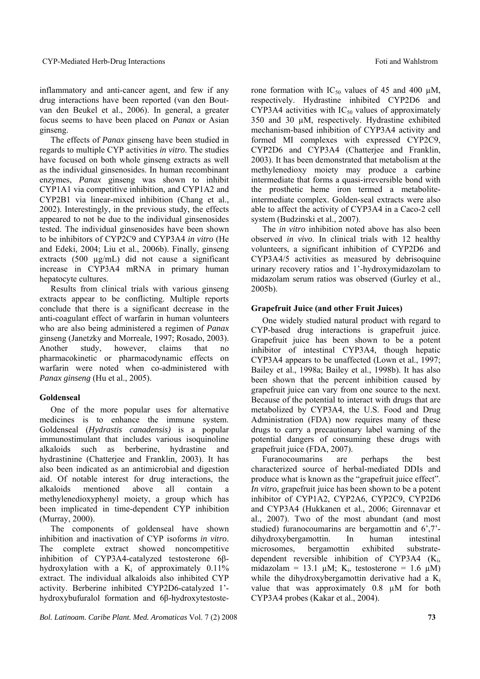inflammatory and anti-cancer agent, and few if any drug interactions have been reported (van den Boutvan den Beukel et al., 2006). In general, a greater focus seems to have been placed on *Panax* or Asian ginseng.

The effects of *Panax* ginseng have been studied in regards to multiple CYP activities *in vitro*. The studies have focused on both whole ginseng extracts as well as the individual ginsenosides. In human recombinant enzymes, *Panax* ginseng was shown to inhibit CYP1A1 via competitive inhibition, and CYP1A2 and CYP2B1 via linear-mixed inhibition (Chang et al., 2002). Interestingly, in the previous study, the effects appeared to not be due to the individual ginsenosides tested. The individual ginsenosides have been shown to be inhibitors of CYP2C9 and CYP3A4 *in vitro* (He and Edeki, 2004; Liu et al., 2006b). Finally, ginseng extracts (500 µg/mL) did not cause a significant increase in CYP3A4 mRNA in primary human hepatocyte cultures.

Results from clinical trials with various ginseng extracts appear to be conflicting. Multiple reports conclude that there is a significant decrease in the anti-coagulant effect of warfarin in human volunteers who are also being administered a regimen of *Panax*  ginseng (Janetzky and Morreale, 1997; Rosado, 2003). Another study, however, claims that no pharmacokinetic or pharmacodynamic effects on warfarin were noted when co-administered with *Panax ginseng* (Hu et al., 2005).

# **Goldenseal**

One of the more popular uses for alternative medicines is to enhance the immune system. Goldenseal (*Hydrastis canadensis)* is a popular immunostimulant that includes various isoquinoline alkaloids such as berberine, hydrastine and hydrastinine (Chatterjee and Franklin, 2003). It has also been indicated as an antimicrobial and digestion aid. Of notable interest for drug interactions, the alkaloids mentioned above all contain a methylenedioxyphenyl moiety, a group which has been implicated in time-dependent CYP inhibition (Murray, 2000).

The components of goldenseal have shown inhibition and inactivation of CYP isoforms *in vitro*. The complete extract showed noncompetitive inhibition of CYP3A4-catalyzed testosterone 6βhydroxylation with a  $K_i$  of approximately 0.11% extract. The individual alkaloids also inhibited CYP activity. Berberine inhibited CYP2D6-catalyzed 1' hydroxybufuralol formation and 6β-hydroxytestosterone formation with  $IC_{50}$  values of 45 and 400  $\mu$ M, respectively. Hydrastine inhibited CYP2D6 and CYP3A4 activities with  $IC_{50}$  values of approximately 350 and 30 µM, respectively. Hydrastine exhibited mechanism-based inhibition of CYP3A4 activity and formed MI complexes with expressed CYP2C9, CYP2D6 and CYP3A4 (Chatterjee and Franklin, 2003). It has been demonstrated that metabolism at the methylenedioxy moiety may produce a carbine intermediate that forms a quasi-irreversible bond with the prosthetic heme iron termed a metaboliteintermediate complex. Golden-seal extracts were also able to affect the activity of CYP3A4 in a Caco-2 cell system (Budzinski et al., 2007).

The *in vitro* inhibition noted above has also been observed *in vivo*. In clinical trials with 12 healthy volunteers, a significant inhibition of CYP2D6 and CYP3A4/5 activities as measured by debrisoquine urinary recovery ratios and 1'-hydroxymidazolam to midazolam serum ratios was observed (Gurley et al., 2005b).

# **Grapefruit Juice (and other Fruit Juices)**

One widely studied natural product with regard to CYP-based drug interactions is grapefruit juice. Grapefruit juice has been shown to be a potent inhibitor of intestinal CYP3A4, though hepatic CYP3A4 appears to be unaffected (Lown et al., 1997; Bailey et al., 1998a; Bailey et al., 1998b). It has also been shown that the percent inhibition caused by grapefruit juice can vary from one source to the next. Because of the potential to interact with drugs that are metabolized by CYP3A4, the U.S. Food and Drug Administration (FDA) now requires many of these drugs to carry a precautionary label warning of the potential dangers of consuming these drugs with grapefruit juice (FDA, 2007).

Furanocoumarins are perhaps the best characterized source of herbal-mediated DDIs and produce what is known as the "grapefruit juice effect". *In vitro*, grapefruit juice has been shown to be a potent inhibitor of CYP1A2, CYP2A6, CYP2C9, CYP2D6 and CYP3A4 (Hukkanen et al., 2006; Girennavar et al., 2007). Two of the most abundant (and most studied) furanocoumarins are bergamottin and 6',7' dihydroxybergamottin. In human intestinal microsomes, bergamottin exhibited substratedependent reversible inhibition of CYP3A4  $(K_i)$ , midazolam = 13.1  $\mu$ M; K<sub>i</sub>, testosterone = 1.6  $\mu$ M) while the dihydroxybergamottin derivative had a  $K_i$ value that was approximately 0.8 µM for both CYP3A4 probes (Kakar et al., 2004).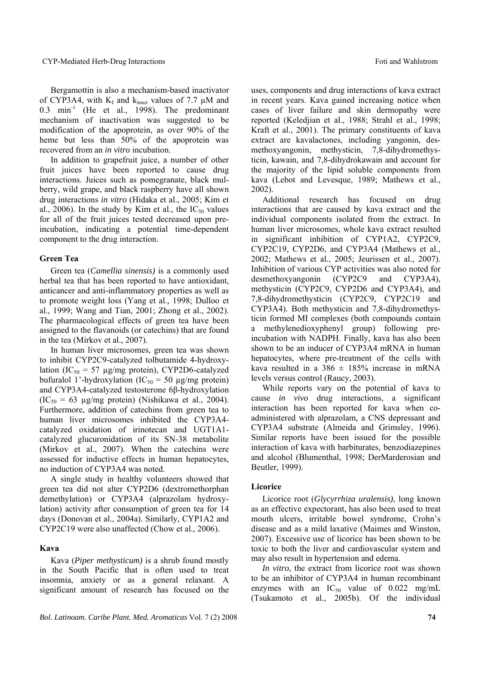Bergamottin is also a mechanism-based inactivator of CYP3A4, with  $K_I$  and  $k_{inact}$  values of 7.7  $\mu$ M and  $0.3$  min<sup>-1</sup> (He et al., 1998). The predominant mechanism of inactivation was suggested to be modification of the apoprotein, as over 90% of the heme but less than  $50\%$  of the apoprotein was recovered from an *in vitro* incubation.

In addition to grapefruit juice, a number of other fruit juices have been reported to cause drug interactions. Juices such as pomegranate, black mulberry, wild grape, and black raspberry have all shown drug interactions *in vitro* (Hidaka et al., 2005; Kim et al., 2006). In the study by Kim et al., the  $IC_{50}$  values for all of the fruit juices tested decreased upon preincubation, indicating a potential time-dependent component to the drug interaction.

### **Green Tea**

Green tea (*Camellia sinensis)* is a commonly used herbal tea that has been reported to have antioxidant, anticancer and anti-inflammatory properties as well as to promote weight loss (Yang et al., 1998; Dulloo et al., 1999; Wang and Tian, 2001; Zhong et al., 2002). The pharmacological effects of green tea have been assigned to the flavanoids (or catechins) that are found in the tea (Mirkov et al., 2007).

In human liver microsomes, green tea was shown to inhibit CYP2C9-catalyzed tolbutamide 4-hydroxylation (IC<sub>50</sub> = 57  $\mu$ g/mg protein), CYP2D6-catalyzed bufuralol 1'-hydroxylation (IC<sub>50</sub> = 50  $\mu$ g/mg protein) and CYP3A4-catalyzed testosterone 6β-hydroxylation  $(IC<sub>50</sub> = 63 \mu g/mg protein)$  (Nishikawa et al., 2004). Furthermore, addition of catechins from green tea to human liver microsomes inhibited the CYP3A4 catalyzed oxidation of irinotecan and UGT1A1 catalyzed glucuronidation of its SN-38 metabolite (Mirkov et al., 2007). When the catechins were assessed for inductive effects in human hepatocytes, no induction of CYP3A4 was noted.

A single study in healthy volunteers showed that green tea did not alter CYP2D6 (dextromethorphan demethylation) or CYP3A4 (alprazolam hydroxylation) activity after consumption of green tea for 14 days (Donovan et al., 2004a). Similarly, CYP1A2 and CYP2C19 were also unaffected (Chow et al., 2006).

# **Kava**

Kava (*Piper methysticum)* is a shrub found mostly in the South Pacific that is often used to treat insomnia, anxiety or as a general relaxant. A significant amount of research has focused on the uses, components and drug interactions of kava extract in recent years. Kava gained increasing notice when cases of liver failure and skin dermopathy were reported (Keledjian et al., 1988; Strahl et al., 1998; Kraft et al., 2001). The primary constituents of kava extract are kavalactones, including yangonin, desmethoxyangonin, methysticin, 7,8-dihydromethysticin, kawain, and 7,8-dihydrokawain and account for the majority of the lipid soluble components from kava (Lebot and Levesque, 1989; Mathews et al., 2002).

Additional research has focused on drug interactions that are caused by kava extract and the individual components isolated from the extract. In human liver microsomes, whole kava extract resulted in significant inhibition of CYP1A2, CYP2C9, CYP2C19, CYP2D6, and CYP3A4 (Mathews et al., 2002; Mathews et al., 2005; Jeurissen et al., 2007). Inhibition of various CYP activities was also noted for desmethoxyangonin (CYP2C9 and CYP3A4), methysticin (CYP2C9, CYP2D6 and CYP3A4), and 7,8-dihydromethysticin (CYP2C9, CYP2C19 and CYP3A4). Both methysticin and 7,8-dihydromethysticin formed MI complexes (both compounds contain a methylenedioxyphenyl group) following preincubation with NADPH. Finally, kava has also been shown to be an inducer of CYP3A4 mRNA in human hepatocytes, where pre-treatment of the cells with kava resulted in a  $386 \pm 185\%$  increase in mRNA levels versus control (Raucy, 2003).

While reports vary on the potential of kava to cause *in vivo* drug interactions, a significant interaction has been reported for kava when coadministered with alprazolam, a CNS depressant and CYP3A4 substrate (Almeida and Grimsley, 1996). Similar reports have been issued for the possible interaction of kava with barbiturates, benzodiazepines and alcohol (Blumenthal, 1998; DerMarderosian and Beutler, 1999).

#### **Licorice**

Licorice root (*Glycyrrhiza uralensis)*, long known as an effective expectorant, has also been used to treat mouth ulcers, irritable bowel syndrome, Crohn's disease and as a mild laxative (Maimes and Winston, 2007). Excessive use of licorice has been shown to be toxic to both the liver and cardiovascular system and may also result in hypertension and edema.

*In vitro*, the extract from licorice root was shown to be an inhibitor of CYP3A4 in human recombinant enzymes with an  $IC_{50}$  value of 0.022 mg/mL (Tsukamoto et al., 2005b). Of the individual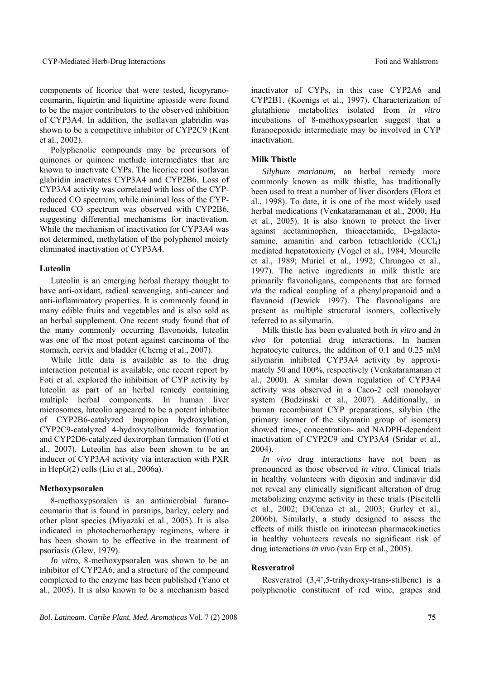components of licorice that were tested, licopyranocoumarin, liquirtin and liquirtine apioside were found to be the major contributors to the observed inhibition of CYP3A4. In addition, the isoflavan glabridin was shown to be a competitive inhibitor of CYP2C9 (Kent et al., 2002).

Polyphenolic compounds may be precursors of quinones or quinone methide intermediates that are known to inactivate CYPs. The licorice root isoflavan glabridin inactivates CYP3A4 and CYP2B6. Loss of CYP3A4 activity was correlated with loss of the CYPreduced CO spectrum, while minimal loss of the CYPreduced CO spectrum was observed with CYP2B6, suggesting differential mechanisms for inactivation. While the mechanism of inactivation for CYP3A4 was not determined, methylation of the polyphenol moiety eliminated inactivation of CYP3A4.

# **Luteolin**

Luteolin is an emerging herbal therapy thought to have anti-oxidant, radical scavenging, anti-cancer and anti-inflammatory properties. It is commonly found in many edible fruits and vegetables and is also sold as an herbal supplement. One recent study found that of the many commonly occurring flavonoids, luteolin was one of the most potent against carcinoma of the stomach, cervix and bladder (Cherng et al., 2007).

While little data is available as to the drug interaction potential is available, one recent report by Foti et al. explored the inhibition of CYP activity by luteolin as part of an herbal remedy containing multiple herbal components. In human liver microsomes, luteolin appeared to be a potent inhibitor of CYP2B6-catalyzed bupropion hydroxylation, CYP2C9-catalyzed 4-hydroxytolbutamide formation and CYP2D6-catalyzed dextrorphan formation (Foti et al., 2007). Luteolin has also been shown to be an inducer of CYP3A4 activity via interaction with PXR in HepG(2) cells (Liu et al., 2006a).

#### **Methoxypsoralen**

8-methoxypsoralen is an antimicrobial furanocoumarin that is found in parsnips, barley, celery and other plant species (Miyazaki et al., 2005). It is also indicated in photochemotherapy regimens, where it has been shown to be effective in the treatment of psoriasis (Glew, 1979).

*In vitro*, 8-methoxypsoralen was shown to be an inhibitor of CYP2A6, and a structure of the compound complexed to the enzyme has been published (Yano et al., 2005). It is also known to be a mechanism based inactivator of CYPs, in this case CYP2A6 and CYP2B1. (Koenigs et al., 1997). Characterization of glutathione metabolites isolated from *in vitro* incubations of 8-methoxypsoarlen suggest that a furanoepoxide intermediate may be involved in CYP inactivation.

### **Milk Thistle**

*Silybum marianum,* an herbal remedy more commonly known as milk thistle, has traditionally been used to treat a number of liver disorders (Flora et al., 1998). To date, it is one of the most widely used herbal medications (Venkataramanan et al., 2000; Hu et al., 2005). It is also known to protect the liver against acetaminophen, thioacetamide, D-galactosamine, amanitin and carbon tetrachloride  $(CCl<sub>4</sub>)$ mediated hepatotoxicity (Vogel et al., 1984; Mourelle et al., 1989; Muriel et al., 1992; Chrungoo et al., 1997). The active ingredients in milk thistle are primarily flavonoligans, components that are formed *via* the radical coupling of a phenylpropanoid and a flavanoid (Dewick 1997). The flavonoligans are present as multiple structural isomers, collectively referred to as silymarin.

Milk thistle has been evaluated both *in vitro* and *in vivo* for potential drug interactions. In human hepatocyte cultures, the addition of 0.1 and 0.25 mM silymarin inhibited CYP3A4 activity by approximately 50 and 100%, respectively (Venkataramanan et al., 2000). A similar down regulation of CYP3A4 activity was observed in a Caco-2 cell monolayer system (Budzinski et al., 2007). Additionally, in human recombinant CYP preparations, silybin (the primary isomer of the silymarin group of isomers) showed time-, concentration- and NADPH-dependent inactivation of CYP2C9 and CYP3A4 (Sridar et al., 2004).

*In vivo* drug interactions have not been as pronounced as those observed *in vitro*. Clinical trials in healthy volunteers with digoxin and indinavir did not reveal any clinically significant alteration of drug metabolizing enzyme activity in these trials (Piscitelli et al., 2002; DiCenzo et al., 2003; Gurley et al., 2006b). Similarly, a study designed to assess the effects of milk thistle on irinotecan pharmacokinetics in healthy volunteers reveals no significant risk of drug interactions *in vivo* (van Erp et al., 2005).

# **Resveratrol**

Resveratrol (3,4',5-trihydroxy-trans-stilbene) is a polyphenolic constituent of red wine, grapes and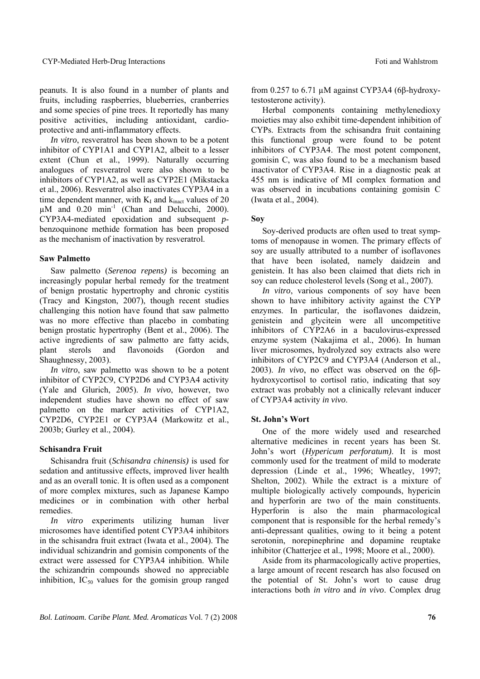peanuts. It is also found in a number of plants and fruits, including raspberries, blueberries, cranberries and some species of pine trees. It reportedly has many positive activities, including antioxidant, cardioprotective and anti-inflammatory effects.

*In vitro*, resveratrol has been shown to be a potent inhibitor of CYP1A1 and CYP1A2, albeit to a lesser extent (Chun et al., 1999). Naturally occurring analogues of resveratrol were also shown to be inhibitors of CYP1A2, as well as CYP2E1 (Mikstacka et al., 2006). Resveratrol also inactivates CYP3A4 in a time dependent manner, with  $K_I$  and  $k_{\text{inact}}$  values of 20  $\mu$ M and 0.20 min<sup>-1</sup> (Chan and Delucchi, 2000). CYP3A4-mediated epoxidation and subsequent *p*benzoquinone methide formation has been proposed as the mechanism of inactivation by resveratrol.

# **Saw Palmetto**

Saw palmetto (*Serenoa repens)* is becoming an increasingly popular herbal remedy for the treatment of benign prostatic hypertrophy and chronic cystitis (Tracy and Kingston, 2007), though recent studies challenging this notion have found that saw palmetto was no more effective than placebo in combating benign prostatic hypertrophy (Bent et al., 2006). The active ingredients of saw palmetto are fatty acids, plant sterols and flavonoids (Gordon and Shaughnessy, 2003).

*In vitro*, saw palmetto was shown to be a potent inhibitor of CYP2C9, CYP2D6 and CYP3A4 activity (Yale and Glurich, 2005). *In vivo*, however, two independent studies have shown no effect of saw palmetto on the marker activities of CYP1A2, CYP2D6, CYP2E1 or CYP3A4 (Markowitz et al., 2003b; Gurley et al., 2004).

### **Schisandra Fruit**

Schisandra fruit (*Schisandra chinensis)* is used for sedation and antitussive effects, improved liver health and as an overall tonic. It is often used as a component of more complex mixtures, such as Japanese Kampo medicines or in combination with other herbal remedies.

*In vitro* experiments utilizing human liver microsomes have identified potent CYP3A4 inhibitors in the schisandra fruit extract (Iwata et al., 2004). The individual schizandrin and gomisin components of the extract were assessed for CYP3A4 inhibition. While the schizandrin compounds showed no appreciable inhibition,  $IC_{50}$  values for the gomisin group ranged

from 0.257 to 6.71 µM against CYP3A4 (6β-hydroxytestosterone activity).

Herbal components containing methylenedioxy moieties may also exhibit time-dependent inhibition of CYPs. Extracts from the schisandra fruit containing this functional group were found to be potent inhibitors of CYP3A4. The most potent component, gomisin C, was also found to be a mechanism based inactivator of CYP3A4. Rise in a diagnostic peak at 455 nm is indicative of MI complex formation and was observed in incubations containing gomisin C (Iwata et al., 2004).

# **Soy**

Soy-derived products are often used to treat symptoms of menopause in women. The primary effects of soy are usually attributed to a number of isoflavones that have been isolated, namely daidzein and genistein. It has also been claimed that diets rich in soy can reduce cholesterol levels (Song et al., 2007).

*In vitro*, various components of soy have been shown to have inhibitory activity against the CYP enzymes. In particular, the isoflavones daidzein, genistein and glycitein were all uncompetitive inhibitors of CYP2A6 in a baculovirus-expressed enzyme system (Nakajima et al., 2006). In human liver microsomes, hydrolyzed soy extracts also were inhibitors of CYP2C9 and CYP3A4 (Anderson et al., 2003). *In vivo*, no effect was observed on the 6βhydroxycortisol to cortisol ratio, indicating that soy extract was probably not a clinically relevant inducer of CYP3A4 activity *in vivo*.

# **St. John's Wort**

One of the more widely used and researched alternative medicines in recent years has been St. John's wort (*Hypericum perforatum)*. It is most commonly used for the treatment of mild to moderate depression (Linde et al., 1996; Wheatley, 1997; Shelton, 2002). While the extract is a mixture of multiple biologically actively compounds, hypericin and hyperforin are two of the main constituents. Hyperforin is also the main pharmacological component that is responsible for the herbal remedy's anti-depressant qualities, owing to it being a potent serotonin, norepinephrine and dopamine reuptake inhibitor (Chatterjee et al., 1998; Moore et al., 2000).

Aside from its pharmacologically active properties, a large amount of recent research has also focused on the potential of St. John's wort to cause drug interactions both *in vitro* and *in vivo*. Complex drug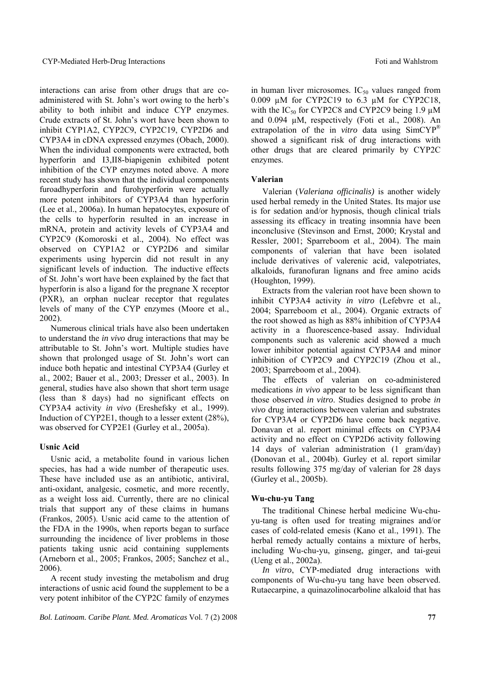interactions can arise from other drugs that are coadministered with St. John's wort owing to the herb's ability to both inhibit and induce CYP enzymes. Crude extracts of St. John's wort have been shown to inhibit CYP1A2, CYP2C9, CYP2C19, CYP2D6 and CYP3A4 in cDNA expressed enzymes (Obach, 2000). When the individual components were extracted, both hyperforin and I3,II8-biapigenin exhibited potent inhibition of the CYP enzymes noted above. A more recent study has shown that the individual components furoadhyperforin and furohyperforin were actually more potent inhibitors of CYP3A4 than hyperforin (Lee et al., 2006a). In human hepatocytes, exposure of the cells to hyperforin resulted in an increase in mRNA, protein and activity levels of CYP3A4 and CYP2C9 (Komoroski et al., 2004). No effect was observed on CYP1A2 or CYP2D6 and similar experiments using hypercin did not result in any significant levels of induction. The inductive effects of St. John's wort have been explained by the fact that hyperforin is also a ligand for the pregnane X receptor (PXR), an orphan nuclear receptor that regulates levels of many of the CYP enzymes (Moore et al., 2002).

Numerous clinical trials have also been undertaken to understand the *in vivo* drug interactions that may be attributable to St. John's wort. Multiple studies have shown that prolonged usage of St. John's wort can induce both hepatic and intestinal CYP3A4 (Gurley et al., 2002; Bauer et al., 2003; Dresser et al., 2003). In general, studies have also shown that short term usage (less than 8 days) had no significant effects on CYP3A4 activity *in vivo* (Ereshefsky et al., 1999). Induction of CYP2E1, though to a lesser extent (28%), was observed for CYP2E1 (Gurley et al., 2005a).

### **Usnic Acid**

Usnic acid, a metabolite found in various lichen species, has had a wide number of therapeutic uses. These have included use as an antibiotic, antiviral, anti-oxidant, analgesic, cosmetic, and more recently, as a weight loss aid. Currently, there are no clinical trials that support any of these claims in humans (Frankos, 2005). Usnic acid came to the attention of the FDA in the 1990s, when reports began to surface surrounding the incidence of liver problems in those patients taking usnic acid containing supplements (Arneborn et al., 2005; Frankos, 2005; Sanchez et al., 2006).

A recent study investing the metabolism and drug interactions of usnic acid found the supplement to be a very potent inhibitor of the CYP2C family of enzymes

*Bol. Latinoam. Caribe Plant. Med. Aromaticas* Vol. 7 (2) 2008 **77**

in human liver microsomes.  $IC_{50}$  values ranged from 0.009 µM for CYP2C19 to 6.3 µM for CYP2C18, with the  $IC_{50}$  for CYP2C8 and CYP2C9 being 1.9  $\mu$ M and 0.094 µM, respectively (Foti et al., 2008). An extrapolation of the in *vitro* data using SimCYP® showed a significant risk of drug interactions with other drugs that are cleared primarily by CYP2C enzymes.

### **Valerian**

Valerian (*Valeriana officinalis)* is another widely used herbal remedy in the United States. Its major use is for sedation and/or hypnosis, though clinical trials assessing its efficacy in treating insomnia have been inconclusive (Stevinson and Ernst, 2000; Krystal and Ressler, 2001; Sparreboom et al., 2004). The main components of valerian that have been isolated include derivatives of valerenic acid, valepotriates, alkaloids, furanofuran lignans and free amino acids (Houghton, 1999).

Extracts from the valerian root have been shown to inhibit CYP3A4 activity *in vitro* (Lefebvre et al., 2004; Sparreboom et al., 2004). Organic extracts of the root showed as high as 88% inhibition of CYP3A4 activity in a fluorescence-based assay. Individual components such as valerenic acid showed a much lower inhibitor potential against CYP3A4 and minor inhibition of CYP2C9 and CYP2C19 (Zhou et al., 2003; Sparreboom et al., 2004).

The effects of valerian on co-administered medications *in vivo* appear to be less significant than those observed *in vitro*. Studies designed to probe *in vivo* drug interactions between valerian and substrates for CYP3A4 or CYP2D6 have come back negative. Donavan et al. report minimal effects on CYP3A4 activity and no effect on CYP2D6 activity following 14 days of valerian administration (1 gram/day) (Donovan et al., 2004b). Gurley et al. report similar results following 375 mg/day of valerian for 28 days (Gurley et al., 2005b).

### **Wu-chu-yu Tang**

The traditional Chinese herbal medicine Wu-chuyu-tang is often used for treating migraines and/or cases of cold-related emesis (Kano et al., 1991). The herbal remedy actually contains a mixture of herbs, including Wu-chu-yu, ginseng, ginger, and tai-geui (Ueng et al., 2002a).

*In vitro*, CYP-mediated drug interactions with components of Wu-chu-yu tang have been observed. Rutaecarpine, a quinazolinocarboline alkaloid that has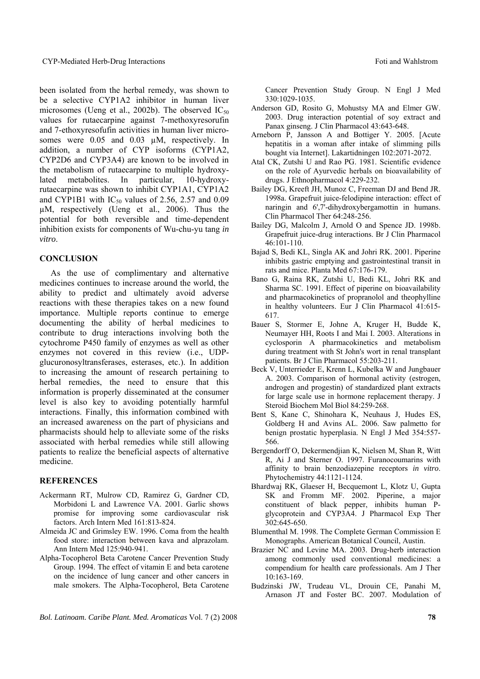#### CYP-Mediated Herb-Drug Interactions **Foundation** Foti and Wahlstrom

been isolated from the herbal remedy, was shown to be a selective CYP1A2 inhibitor in human liver microsomes (Ueng et al., 2002b). The observed  $IC_{50}$ values for rutaecarpine against 7-methoxyresorufin and 7-ethoxyresofufin activities in human liver microsomes were  $0.05$  and  $0.03 \mu M$ , respectively. In addition, a number of CYP isoforms (CYP1A2, CYP2D6 and CYP3A4) are known to be involved in the metabolism of rutaecarpine to multiple hydroxylated metabolites. In particular, 10-hydroxyrutaecarpine was shown to inhibit CYP1A1, CYP1A2 and CYP1B1 with  $IC_{50}$  values of 2.56, 2.57 and 0.09 µM, respectively (Ueng et al., 2006). Thus the potential for both reversible and time-dependent inhibition exists for components of Wu-chu-yu tang *in vitro*.

### **CONCLUSION**

As the use of complimentary and alternative medicines continues to increase around the world, the ability to predict and ultimately avoid adverse reactions with these therapies takes on a new found importance. Multiple reports continue to emerge documenting the ability of herbal medicines to contribute to drug interactions involving both the cytochrome P450 family of enzymes as well as other enzymes not covered in this review (i.e., UDPglucuronosyltransferases, esterases, etc.). In addition to increasing the amount of research pertaining to herbal remedies, the need to ensure that this information is properly disseminated at the consumer level is also key to avoiding potentially harmful interactions. Finally, this information combined with an increased awareness on the part of physicians and pharmacists should help to alleviate some of the risks associated with herbal remedies while still allowing patients to realize the beneficial aspects of alternative medicine.

# **REFERENCES**

- Ackermann RT, Mulrow CD, Ramirez G, Gardner CD, Morbidoni L and Lawrence VA. 2001. Garlic shows promise for improving some cardiovascular risk factors. Arch Intern Med 161:813-824.
- Almeida JC and Grimsley EW. 1996. Coma from the health food store: interaction between kava and alprazolam. Ann Intern Med 125:940-941.
- Alpha-Tocopherol Beta Carotene Cancer Prevention Study Group. 1994. The effect of vitamin E and beta carotene on the incidence of lung cancer and other cancers in male smokers. The Alpha-Tocopherol, Beta Carotene

Cancer Prevention Study Group. N Engl J Med 330:1029-1035.

- Anderson GD, Rosito G, Mohustsy MA and Elmer GW. 2003. Drug interaction potential of soy extract and Panax ginseng. J Clin Pharmacol 43:643-648.
- Arneborn P, Jansson A and Bottiger Y. 2005. [Acute hepatitis in a woman after intake of slimming pills bought via Internet]. Lakartidningen 102:2071-2072.
- Atal CK, Zutshi U and Rao PG. 1981. Scientific evidence on the role of Ayurvedic herbals on bioavailability of drugs. J Ethnopharmacol 4:229-232.
- Bailey DG, Kreeft JH, Munoz C, Freeman DJ and Bend JR. 1998a. Grapefruit juice-felodipine interaction: effect of naringin and 6',7'-dihydroxybergamottin in humans. Clin Pharmacol Ther 64:248-256.
- Bailey DG, Malcolm J, Arnold O and Spence JD. 1998b. Grapefruit juice-drug interactions. Br J Clin Pharmacol 46:101-110.
- Bajad S, Bedi KL, Singla AK and Johri RK. 2001. Piperine inhibits gastric emptying and gastrointestinal transit in rats and mice. Planta Med 67:176-179.
- Bano G, Raina RK, Zutshi U, Bedi KL, Johri RK and Sharma SC. 1991. Effect of piperine on bioavailability and pharmacokinetics of propranolol and theophylline in healthy volunteers. Eur J Clin Pharmacol 41:615- 617.
- Bauer S, Stormer E, Johne A, Kruger H, Budde K, Neumayer HH, Roots I and Mai I. 2003. Alterations in cyclosporin A pharmacokinetics and metabolism during treatment with St John's wort in renal transplant patients. Br J Clin Pharmacol 55:203-211.
- Beck V, Unterrieder E, Krenn L, Kubelka W and Jungbauer A. 2003. Comparison of hormonal activity (estrogen, androgen and progestin) of standardized plant extracts for large scale use in hormone replacement therapy. J Steroid Biochem Mol Biol 84:259-268.
- Bent S, Kane C, Shinohara K, Neuhaus J, Hudes ES, Goldberg H and Avins AL. 2006. Saw palmetto for benign prostatic hyperplasia. N Engl J Med 354:557- 566.
- Bergendorff O, Dekermendjian K, Nielsen M, Shan R, Witt R, Ai J and Sterner O. 1997. Furanocoumarins with affinity to brain benzodiazepine receptors *in vitro*. Phytochemistry 44:1121-1124.
- Bhardwaj RK, Glaeser H, Becquemont L, Klotz U, Gupta SK and Fromm MF. 2002. Piperine, a major constituent of black pepper, inhibits human Pglycoprotein and CYP3A4. J Pharmacol Exp Ther 302:645-650.
- Blumenthal M. 1998. The Complete German Commission E Monographs. American Botanical Council, Austin.
- Brazier NC and Levine MA. 2003. Drug-herb interaction among commonly used conventional medicines: a compendium for health care professionals. Am J Ther 10:163-169.
- Budzinski JW, Trudeau VL, Drouin CE, Panahi M, Arnason JT and Foster BC. 2007. Modulation of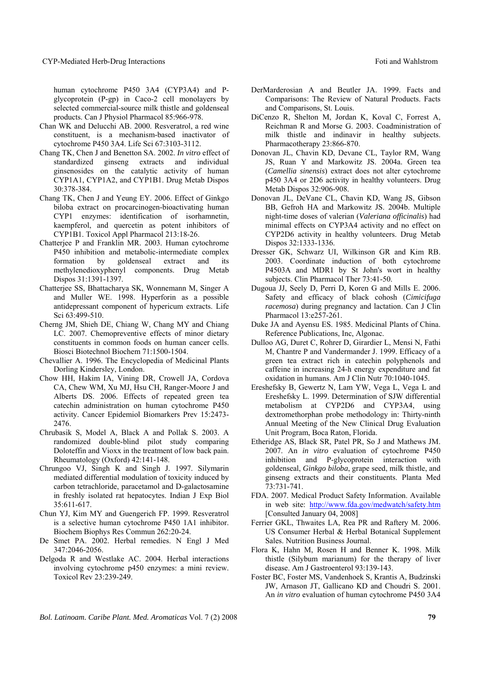human cytochrome P450 3A4 (CYP3A4) and Pglycoprotein (P-gp) in Caco-2 cell monolayers by selected commercial-source milk thistle and goldenseal products. Can J Physiol Pharmacol 85:966-978.

- Chan WK and Delucchi AB. 2000. Resveratrol, a red wine constituent, is a mechanism-based inactivator of cytochrome P450 3A4. Life Sci 67:3103-3112.
- Chang TK, Chen J and Benetton SA. 2002. *In vitro* effect of standardized ginseng extracts and individual ginsenosides on the catalytic activity of human CYP1A1, CYP1A2, and CYP1B1. Drug Metab Dispos 30:378-384.
- Chang TK, Chen J and Yeung EY. 2006. Effect of Ginkgo biloba extract on procarcinogen-bioactivating human CYP1 enzymes: identification of isorhamnetin, kaempferol, and quercetin as potent inhibitors of CYP1B1. Toxicol Appl Pharmacol 213:18-26.
- Chatterjee P and Franklin MR. 2003. Human cytochrome P450 inhibition and metabolic-intermediate complex formation by goldenseal extract and its methylenedioxyphenyl components. Drug Metab Dispos 31:1391-1397.
- Chatterjee SS, Bhattacharya SK, Wonnemann M, Singer A and Muller WE. 1998. Hyperforin as a possible antidepressant component of hypericum extracts. Life Sci 63:499-510.
- Cherng JM, Shieh DE, Chiang W, Chang MY and Chiang LC. 2007. Chemopreventive effects of minor dietary constituents in common foods on human cancer cells. Biosci Biotechnol Biochem 71:1500-1504.
- Chevallier A. 1996. The Encyclopedia of Medicinal Plants Dorling Kindersley, London.
- Chow HH, Hakim IA, Vining DR, Crowell JA, Cordova CA, Chew WM, Xu MJ, Hsu CH, Ranger-Moore J and Alberts DS. 2006. Effects of repeated green tea catechin administration on human cytochrome P450 activity. Cancer Epidemiol Biomarkers Prev 15:2473- 2476.
- Chrubasik S, Model A, Black A and Pollak S. 2003. A randomized double-blind pilot study comparing Doloteffin and Vioxx in the treatment of low back pain. Rheumatology (Oxford) 42:141-148.
- Chrungoo VJ, Singh K and Singh J. 1997. Silymarin mediated differential modulation of toxicity induced by carbon tetrachloride, paracetamol and D-galactosamine in freshly isolated rat hepatocytes. Indian J Exp Biol 35:611-617.
- Chun YJ, Kim MY and Guengerich FP. 1999. Resveratrol is a selective human cytochrome P450 1A1 inhibitor. Biochem Biophys Res Commun 262:20-24.
- De Smet PA. 2002. Herbal remedies. N Engl J Med 347:2046-2056.
- Delgoda R and Westlake AC. 2004. Herbal interactions involving cytochrome p450 enzymes: a mini review. Toxicol Rev 23:239-249.
- DerMarderosian A and Beutler JA. 1999. Facts and Comparisons: The Review of Natural Products. Facts and Comparisons, St. Louis.
- DiCenzo R, Shelton M, Jordan K, Koval C, Forrest A, Reichman R and Morse G. 2003. Coadministration of milk thistle and indinavir in healthy subjects. Pharmacotherapy 23:866-870.
- Donovan JL, Chavin KD, Devane CL, Taylor RM, Wang JS, Ruan Y and Markowitz JS. 2004a. Green tea (*Camellia sinensis*) extract does not alter cytochrome p450 3A4 or 2D6 activity in healthy volunteers. Drug Metab Dispos 32:906-908.
- Donovan JL, DeVane CL, Chavin KD, Wang JS, Gibson BB, Gefroh HA and Markowitz JS. 2004b. Multiple night-time doses of valerian (*Valeriana officinalis*) had minimal effects on CYP3A4 activity and no effect on CYP2D6 activity in healthy volunteers. Drug Metab Dispos 32:1333-1336.
- Dresser GK, Schwarz UI, Wilkinson GR and Kim RB. 2003. Coordinate induction of both cytochrome P4503A and MDR1 by St John's wort in healthy subjects. Clin Pharmacol Ther 73:41-50.
- Dugoua JJ, Seely D, Perri D, Koren G and Mills E. 2006. Safety and efficacy of black cohosh (*Cimicifuga racemosa*) during pregnancy and lactation. Can J Clin Pharmacol 13:e257-261.
- Duke JA and Ayensu ES. 1985. Medicinal Plants of China. Reference Publications, Inc, Algonac.
- Dulloo AG, Duret C, Rohrer D, Girardier L, Mensi N, Fathi M, Chantre P and Vandermander J. 1999. Efficacy of a green tea extract rich in catechin polyphenols and caffeine in increasing 24-h energy expenditure and fat oxidation in humans. Am J Clin Nutr 70:1040-1045.
- Ereshefsky B, Gewertz N, Lam YW, Vega L, Vega L and Ereshefsky L. 1999. Determination of SJW differential metabolism at CYP2D6 and CYP3A4, using dextromethorphan probe methodology in: Thirty-ninth Annual Meeting of the New Clinical Drug Evaluation Unit Program, Boca Raton, Florida.
- Etheridge AS, Black SR, Patel PR, So J and Mathews JM. 2007. An *in vitro* evaluation of cytochrome P450 inhibition and P-glycoprotein interaction with goldenseal, *Ginkgo biloba*, grape seed, milk thistle, and ginseng extracts and their constituents. Planta Med 73:731-741.
- FDA. 2007. Medical Product Safety Information. Available in web site: http://www.fda.gov/medwatch/safety.htm [Consulted January 04, 2008]
- Ferrier GKL, Thwaites LA, Rea PR and Raftery M. 2006. US Consumer Herbal & Herbal Botanical Supplement Sales. Nutrition Business Journal.
- Flora K, Hahn M, Rosen H and Benner K. 1998. Milk thistle (Silybum marianum) for the therapy of liver disease. Am J Gastroenterol 93:139-143.
- Foster BC, Foster MS, Vandenhoek S, Krantis A, Budzinski JW, Arnason JT, Gallicano KD and Choudri S. 2001. An *in vitro* evaluation of human cytochrome P450 3A4

*Bol. Latinoam. Caribe Plant. Med. Aromaticas* Vol. 7 (2) 2008 **79**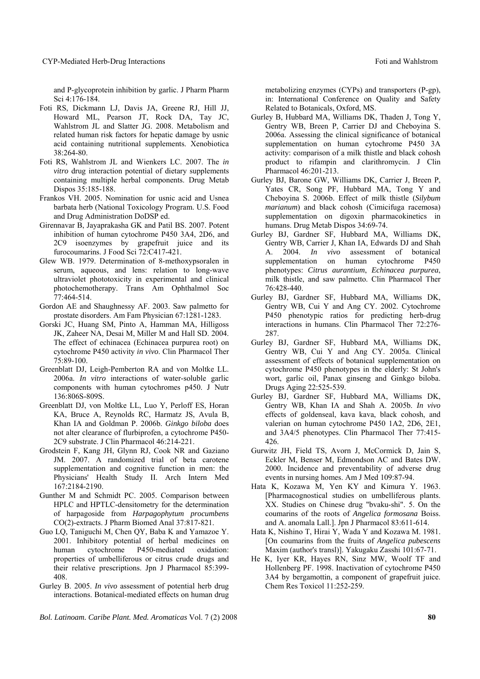and P-glycoprotein inhibition by garlic. J Pharm Pharm Sci 4:176-184.

- Foti RS, Dickmann LJ, Davis JA, Greene RJ, Hill JJ, Howard ML, Pearson JT, Rock DA, Tay JC, Wahlstrom JL and Slatter JG. 2008. Metabolism and related human risk factors for hepatic damage by usnic acid containing nutritional supplements. Xenobiotica 38:264-80.
- Foti RS, Wahlstrom JL and Wienkers LC. 2007. The *in vitro* drug interaction potential of dietary supplements containing multiple herbal components. Drug Metab Dispos 35:185-188.
- Frankos VH. 2005. Nomination for usnic acid and Usnea barbata herb (National Toxicology Program. U.S. Food and Drug Administration DoDSP ed.
- Girennavar B, Jayaprakasha GK and Patil BS. 2007. Potent inhibition of human cytochrome P450 3A4, 2D6, and 2C9 isoenzymes by grapefruit juice and its furocoumarins. J Food Sci 72:C417-421.
- Glew WB. 1979. Determination of 8-methoxypsoralen in serum, aqueous, and lens: relation to long-wave ultraviolet phototoxicity in experimental and clinical photochemotherapy. Trans Am Ophthalmol Soc 77:464-514.
- Gordon AE and Shaughnessy AF. 2003. Saw palmetto for prostate disorders. Am Fam Physician 67:1281-1283.
- Gorski JC, Huang SM, Pinto A, Hamman MA, Hilligoss JK, Zaheer NA, Desai M, Miller M and Hall SD. 2004. The effect of echinacea (Echinacea purpurea root) on cytochrome P450 activity *in vivo*. Clin Pharmacol Ther  $75.89 - 100$
- Greenblatt DJ, Leigh-Pemberton RA and von Moltke LL. 2006a. *In vitro* interactions of water-soluble garlic components with human cytochromes p450. J Nutr 136:806S-809S.
- Greenblatt DJ, von Moltke LL, Luo Y, Perloff ES, Horan KA, Bruce A, Reynolds RC, Harmatz JS, Avula B, Khan IA and Goldman P. 2006b. *Ginkgo biloba* does not alter clearance of flurbiprofen, a cytochrome P450- 2C9 substrate. J Clin Pharmacol 46:214-221.
- Grodstein F, Kang JH, Glynn RJ, Cook NR and Gaziano JM. 2007. A randomized trial of beta carotene supplementation and cognitive function in men: the Physicians' Health Study II. Arch Intern Med 167:2184-2190.
- Gunther M and Schmidt PC. 2005. Comparison between HPLC and HPTLC-densitometry for the determination of harpagoside from *Harpagophytum procumbens* CO(2)-extracts. J Pharm Biomed Anal 37:817-821.
- Guo LQ, Taniguchi M, Chen QY, Baba K and Yamazoe Y. 2001. Inhibitory potential of herbal medicines on human cytochrome P450-mediated oxidation: properties of umbelliferous or citrus crude drugs and their relative prescriptions. Jpn J Pharmacol 85:399- 408.
- Gurley B. 2005. *In vivo* assessment of potential herb drug interactions. Botanical-mediated effects on human drug

*Bol. Latinoam. Caribe Plant. Med. Aromaticas* Vol. 7 (2) 2008 **80**

metabolizing enzymes (CYPs) and transporters (P-gp), in: International Conference on Quality and Safety Related to Botanicals, Oxford, MS.

- Gurley B, Hubbard MA, Williams DK, Thaden J, Tong Y, Gentry WB, Breen P, Carrier DJ and Cheboyina S. 2006a. Assessing the clinical significance of botanical supplementation on human cytochrome P450 3A activity: comparison of a milk thistle and black cohosh product to rifampin and clarithromycin. J Clin Pharmacol 46:201-213.
- Gurley BJ, Barone GW, Williams DK, Carrier J, Breen P, Yates CR, Song PF, Hubbard MA, Tong Y and Cheboyina S. 2006b. Effect of milk thistle (*Silybum marianum*) and black cohosh (Cimicifuga racemosa) supplementation on digoxin pharmacokinetics in humans. Drug Metab Dispos 34:69-74.
- Gurley BJ, Gardner SF, Hubbard MA, Williams DK, Gentry WB, Carrier J, Khan IA, Edwards DJ and Shah A. 2004. *In vivo* assessment of botanical supplementation on human cytochrome P450 phenotypes: *Citrus aurantium*, *Echinacea purpurea*, milk thistle, and saw palmetto. Clin Pharmacol Ther 76:428-440.
- Gurley BJ, Gardner SF, Hubbard MA, Williams DK, Gentry WB, Cui Y and Ang CY. 2002. Cytochrome P450 phenotypic ratios for predicting herb-drug interactions in humans. Clin Pharmacol Ther 72:276- 287.
- Gurley BJ, Gardner SF, Hubbard MA, Williams DK, Gentry WB, Cui Y and Ang CY. 2005a. Clinical assessment of effects of botanical supplementation on cytochrome P450 phenotypes in the elderly: St John's wort, garlic oil, Panax ginseng and Ginkgo biloba. Drugs Aging 22:525-539.
- Gurley BJ, Gardner SF, Hubbard MA, Williams DK, Gentry WB, Khan IA and Shah A. 2005b. *In vivo* effects of goldenseal, kava kava, black cohosh, and valerian on human cytochrome P450 1A2, 2D6, 2E1, and 3A4/5 phenotypes. Clin Pharmacol Ther 77:415- 426.
- Gurwitz JH, Field TS, Avorn J, McCormick D, Jain S, Eckler M, Benser M, Edmondson AC and Bates DW. 2000. Incidence and preventability of adverse drug events in nursing homes. Am J Med 109:87-94.
- Hata K, Kozawa M, Yen KY and Kimura Y. 1963. [Pharmacognostical studies on umbelliferous plants. XX. Studies on Chinese drug "bvaku-shi". 5. On the coumarins of the roots of *Angelica formosana* Boiss. and A. anomala Lall.]. Jpn J Pharmacol 83:611-614.
- Hata K, Nishino T, Hirai Y, Wada Y and Kozawa M. 1981. [On coumarins from the fruits of *Angelica pubescens* Maxim (author's transl)]. Yakugaku Zasshi 101:67-71.
- He K, Iyer KR, Hayes RN, Sinz MW, Woolf TF and Hollenberg PF. 1998. Inactivation of cytochrome P450 3A4 by bergamottin, a component of grapefruit juice. Chem Res Toxicol 11:252-259.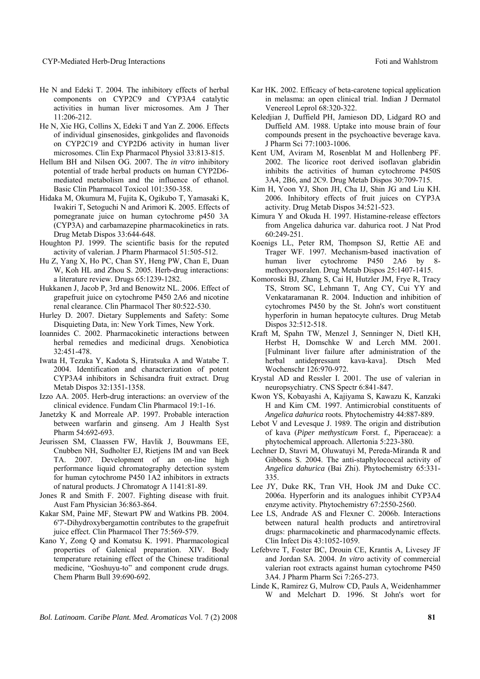#### CYP-Mediated Herb-Drug Interactions **Foundation** Foti and Wahlstrom

- He N and Edeki T. 2004. The inhibitory effects of herbal components on CYP2C9 and CYP3A4 catalytic activities in human liver microsomes. Am J Ther 11:206-212.
- He N, Xie HG, Collins X, Edeki T and Yan Z. 2006. Effects of individual ginsenosides, ginkgolides and flavonoids on CYP2C19 and CYP2D6 activity in human liver microsomes. Clin Exp Pharmacol Physiol 33:813-815.
- Hellum BH and Nilsen OG. 2007. The *in vitro* inhibitory potential of trade herbal products on human CYP2D6 mediated metabolism and the influence of ethanol. Basic Clin Pharmacol Toxicol 101:350-358.
- Hidaka M, Okumura M, Fujita K, Ogikubo T, Yamasaki K, Iwakiri T, Setoguchi N and Arimori K. 2005. Effects of pomegranate juice on human cytochrome p450 3A (CYP3A) and carbamazepine pharmacokinetics in rats. Drug Metab Dispos 33:644-648.
- Houghton PJ. 1999. The scientific basis for the reputed activity of valerian. J Pharm Pharmacol 51:505-512.
- Hu Z, Yang X, Ho PC, Chan SY, Heng PW, Chan E, Duan W, Koh HL and Zhou S. 2005. Herb-drug interactions: a literature review. Drugs 65:1239-1282.
- Hukkanen J, Jacob P, 3rd and Benowitz NL. 2006. Effect of grapefruit juice on cytochrome P450 2A6 and nicotine renal clearance. Clin Pharmacol Ther 80:522-530.
- Hurley D. 2007. Dietary Supplements and Safety: Some Disquieting Data, in: New York Times, New York.
- Ioannides C. 2002. Pharmacokinetic interactions between herbal remedies and medicinal drugs. Xenobiotica 32:451-478.
- Iwata H, Tezuka Y, Kadota S, Hiratsuka A and Watabe T. 2004. Identification and characterization of potent CYP3A4 inhibitors in Schisandra fruit extract. Drug Metab Dispos 32:1351-1358.
- Izzo AA. 2005. Herb-drug interactions: an overview of the clinical evidence. Fundam Clin Pharmacol 19:1-16.
- Janetzky K and Morreale AP. 1997. Probable interaction between warfarin and ginseng. Am J Health Syst Pharm 54:692-693.
- Jeurissen SM, Claassen FW, Havlik J, Bouwmans EE, Cnubben NH, Sudholter EJ, Rietjens IM and van Beek TA. 2007. Development of an on-line high performance liquid chromatography detection system for human cytochrome P450 1A2 inhibitors in extracts of natural products. J Chromatogr A 1141:81-89.
- Jones R and Smith F. 2007. Fighting disease with fruit. Aust Fam Physician 36:863-864.
- Kakar SM, Paine MF, Stewart PW and Watkins PB. 2004. 6'7'-Dihydroxybergamottin contributes to the grapefruit juice effect. Clin Pharmacol Ther 75:569-579.
- Kano Y, Zong Q and Komatsu K. 1991. Pharmacological properties of Galenical preparation. XIV. Body temperature retaining effect of the Chinese traditional medicine, "Goshuyu-to" and component crude drugs. Chem Pharm Bull 39:690-692.
- Kar HK. 2002. Efficacy of beta-carotene topical application in melasma: an open clinical trial. Indian J Dermatol Venereol Leprol 68:320-322.
- Keledjian J, Duffield PH, Jamieson DD, Lidgard RO and Duffield AM. 1988. Uptake into mouse brain of four compounds present in the psychoactive beverage kava. J Pharm Sci 77:1003-1006.
- Kent UM, Aviram M, Rosenblat M and Hollenberg PF. 2002. The licorice root derived isoflavan glabridin inhibits the activities of human cytochrome P450S 3A4, 2B6, and 2C9. Drug Metab Dispos 30:709-715.
- Kim H, Yoon YJ, Shon JH, Cha IJ, Shin JG and Liu KH. 2006. Inhibitory effects of fruit juices on CYP3A activity. Drug Metab Dispos 34:521-523.
- Kimura Y and Okuda H. 1997. Histamine-release effectors from Angelica dahurica var. dahurica root. J Nat Prod 60:249-251.
- Koenigs LL, Peter RM, Thompson SJ, Rettie AE and Trager WF. 1997. Mechanism-based inactivation of human liver cytochrome P450 2A6 by 8 methoxypsoralen. Drug Metab Dispos 25:1407-1415.
- Komoroski BJ, Zhang S, Cai H, Hutzler JM, Frye R, Tracy TS, Strom SC, Lehmann T, Ang CY, Cui YY and Venkataramanan R. 2004. Induction and inhibition of cytochromes P450 by the St. John's wort constituent hyperforin in human hepatocyte cultures. Drug Metab Dispos 32:512-518.
- Kraft M, Spahn TW, Menzel J, Senninger N, Dietl KH, Herbst H, Domschke W and Lerch MM. 2001. [Fulminant liver failure after administration of the herbal antidepressant kava-kava]. Dtsch Med Wochenschr 126:970-972.
- Krystal AD and Ressler I. 2001. The use of valerian in neuropsychiatry. CNS Spectr 6:841-847.
- Kwon YS, Kobayashi A, Kajiyama S, Kawazu K, Kanzaki H and Kim CM. 1997. Antimicrobial constituents of *Angelica dahurica* roots. Phytochemistry 44:887-889.
- Lebot V and Levesque J. 1989. The origin and distribution of kava (*Piper methysticum* Forst. f., Piperaceae): a phytochemical approach. Allertonia 5:223-380.
- Lechner D, Stavri M, Oluwatuyi M, Pereda-Miranda R and Gibbons S. 2004. The anti-staphylococcal activity of *Angelica dahurica* (Bai Zhi). Phytochemistry 65:331- 335.
- Lee JY, Duke RK, Tran VH, Hook JM and Duke CC. 2006a. Hyperforin and its analogues inhibit CYP3A4 enzyme activity. Phytochemistry 67:2550-2560.
- Lee LS, Andrade AS and Flexner C. 2006b. Interactions between natural health products and antiretroviral drugs: pharmacokinetic and pharmacodynamic effects. Clin Infect Dis 43:1052-1059.
- Lefebvre T, Foster BC, Drouin CE, Krantis A, Livesey JF and Jordan SA. 2004. *In vitro* activity of commercial valerian root extracts against human cytochrome P450 3A4. J Pharm Pharm Sci 7:265-273.
- Linde K, Ramirez G, Mulrow CD, Pauls A, Weidenhammer W and Melchart D. 1996. St John's wort for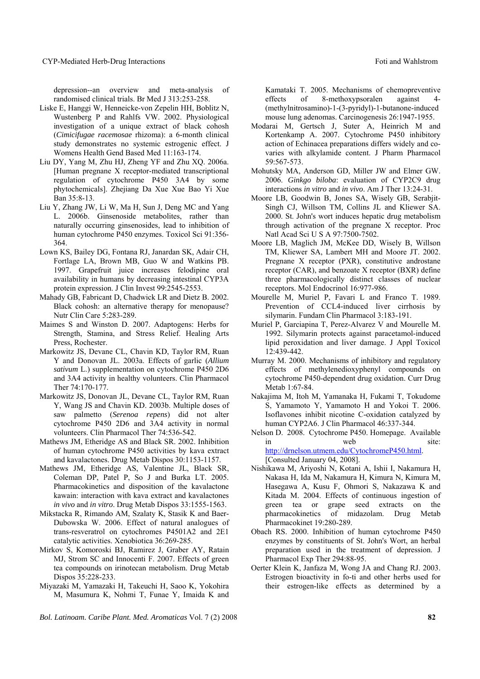depression--an overview and meta-analysis of randomised clinical trials. Br Med J 313:253-258.

- Liske E, Hanggi W, Henneicke-von Zepelin HH, Boblitz N, Wustenberg P and Rahlfs VW. 2002. Physiological investigation of a unique extract of black cohosh (*Cimicifugae racemosae* rhizoma): a 6-month clinical study demonstrates no systemic estrogenic effect. J Womens Health Gend Based Med 11:163-174.
- Liu DY, Yang M, Zhu HJ, Zheng YF and Zhu XQ. 2006a. [Human pregnane X receptor-mediated transcriptional regulation of cytochrome P450 3A4 by some phytochemicals]. Zhejiang Da Xue Xue Bao Yi Xue Ban 35:8-13.
- Liu Y, Zhang JW, Li W, Ma H, Sun J, Deng MC and Yang L. 2006b. Ginsenoside metabolites, rather than naturally occurring ginsenosides, lead to inhibition of human cytochrome P450 enzymes. Toxicol Sci 91:356- 364.
- Lown KS, Bailey DG, Fontana RJ, Janardan SK, Adair CH, Fortlage LA, Brown MB, Guo W and Watkins PB. 1997. Grapefruit juice increases felodipine oral availability in humans by decreasing intestinal CYP3A protein expression. J Clin Invest 99:2545-2553.
- Mahady GB, Fabricant D, Chadwick LR and Dietz B. 2002. Black cohosh: an alternative therapy for menopause? Nutr Clin Care 5:283-289.
- Maimes S and Winston D. 2007. Adaptogens: Herbs for Strength, Stamina, and Stress Relief. Healing Arts Press, Rochester.
- Markowitz JS, Devane CL, Chavin KD, Taylor RM, Ruan Y and Donovan JL. 2003a. Effects of garlic (*Allium sativum* L.) supplementation on cytochrome P450 2D6 and 3A4 activity in healthy volunteers. Clin Pharmacol Ther 74:170-177.
- Markowitz JS, Donovan JL, Devane CL, Taylor RM, Ruan Y, Wang JS and Chavin KD. 2003b. Multiple doses of saw palmetto (*Serenoa repens*) did not alter cytochrome P450 2D6 and 3A4 activity in normal volunteers. Clin Pharmacol Ther 74:536-542.
- Mathews JM, Etheridge AS and Black SR. 2002. Inhibition of human cytochrome P450 activities by kava extract and kavalactones. Drug Metab Dispos 30:1153-1157.
- Mathews JM, Etheridge AS, Valentine JL, Black SR, Coleman DP, Patel P, So J and Burka LT. 2005. Pharmacokinetics and disposition of the kavalactone kawain: interaction with kava extract and kavalactones *in vivo* and *in vitro*. Drug Metab Dispos 33:1555-1563.
- Mikstacka R, Rimando AM, Szalaty K, Stasik K and Baer-Dubowska W. 2006. Effect of natural analogues of trans-resveratrol on cytochromes P4501A2 and 2E1 catalytic activities. Xenobiotica 36:269-285.
- Mirkov S, Komoroski BJ, Ramirez J, Graber AY, Ratain MJ, Strom SC and Innocenti F. 2007. Effects of green tea compounds on irinotecan metabolism. Drug Metab Dispos 35:228-233.
- Miyazaki M, Yamazaki H, Takeuchi H, Saoo K, Yokohira M, Masumura K, Nohmi T, Funae Y, Imaida K and

*Bol. Latinoam. Caribe Plant. Med. Aromaticas* Vol. 7 (2) 2008 **82**

Kamataki T. 2005. Mechanisms of chemopreventive effects of 8-methoxypsoralen against 4- (methylnitrosamino)-1-(3-pyridyl)-1-butanone-induced mouse lung adenomas. Carcinogenesis 26:1947-1955.

- Modarai M, Gertsch J, Suter A, Heinrich M and Kortenkamp A. 2007. Cytochrome P450 inhibitory action of Echinacea preparations differs widely and covaries with alkylamide content. J Pharm Pharmacol 59:567-573.
- Mohutsky MA, Anderson GD, Miller JW and Elmer GW. 2006. *Ginkgo biloba*: evaluation of CYP2C9 drug interactions *in vitro* and *in vivo*. Am J Ther 13:24-31.
- Moore LB, Goodwin B, Jones SA, Wisely GB, Serabjit-Singh CJ, Willson TM, Collins JL and Kliewer SA. 2000. St. John's wort induces hepatic drug metabolism through activation of the pregnane X receptor. Proc Natl Acad Sci U S A 97:7500-7502.
- Moore LB, Maglich JM, McKee DD, Wisely B, Willson TM, Kliewer SA, Lambert MH and Moore JT. 2002. Pregnane X receptor (PXR), constitutive androstane receptor (CAR), and benzoate X receptor (BXR) define three pharmacologically distinct classes of nuclear receptors. Mol Endocrinol 16:977-986.
- Mourelle M, Muriel P, Favari L and Franco T. 1989. Prevention of CCL4-induced liver cirrhosis by silymarin. Fundam Clin Pharmacol 3:183-191.
- Muriel P, Garciapina T, Perez-Alvarez V and Mourelle M. 1992. Silymarin protects against paracetamol-induced lipid peroxidation and liver damage. J Appl Toxicol 12:439-442.
- Murray M. 2000. Mechanisms of inhibitory and regulatory effects of methylenedioxyphenyl compounds on cytochrome P450-dependent drug oxidation. Curr Drug Metab 1:67-84.
- Nakajima M, Itoh M, Yamanaka H, Fukami T, Tokudome S, Yamamoto Y, Yamamoto H and Yokoi T. 2006. Isoflavones inhibit nicotine C-oxidation catalyzed by human CYP2A6. J Clin Pharmacol 46:337-344.

Nelson D. 2008. Cytochrome P450. Homepage. Available in web site: http://drnelson.utmem.edu/CytochromeP450.html. [Consulted January 04, 2008].

Nishikawa M, Ariyoshi N, Kotani A, Ishii I, Nakamura H, Nakasa H, Ida M, Nakamura H, Kimura N, Kimura M, Hasegawa A, Kusu F, Ohmori S, Nakazawa K and Kitada M. 2004. Effects of continuous ingestion of green tea or grape seed extracts on the pharmacokinetics of midazolam. Drug Metab Pharmacokinet 19:280-289.

- Obach RS. 2000. Inhibition of human cytochrome P450 enzymes by constituents of St. John's Wort, an herbal preparation used in the treatment of depression. J Pharmacol Exp Ther 294:88-95.
- Oerter Klein K, Janfaza M, Wong JA and Chang RJ. 2003. Estrogen bioactivity in fo-ti and other herbs used for their estrogen-like effects as determined by a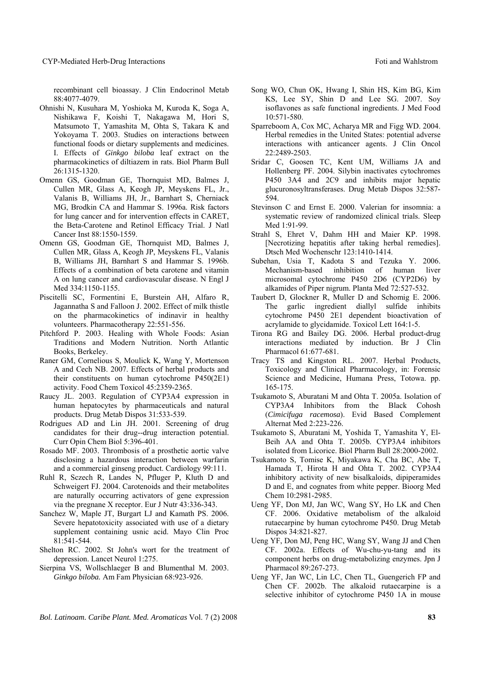recombinant cell bioassay. J Clin Endocrinol Metab 88:4077-4079.

- Ohnishi N, Kusuhara M, Yoshioka M, Kuroda K, Soga A, Nishikawa F, Koishi T, Nakagawa M, Hori S, Matsumoto T, Yamashita M, Ohta S, Takara K and Yokoyama T. 2003. Studies on interactions between functional foods or dietary supplements and medicines. I. Effects of *Ginkgo biloba* leaf extract on the pharmacokinetics of diltiazem in rats. Biol Pharm Bull 26:1315-1320.
- Omenn GS, Goodman GE, Thornquist MD, Balmes J, Cullen MR, Glass A, Keogh JP, Meyskens FL, Jr., Valanis B, Williams JH, Jr., Barnhart S, Cherniack MG, Brodkin CA and Hammar S. 1996a. Risk factors for lung cancer and for intervention effects in CARET, the Beta-Carotene and Retinol Efficacy Trial. J Natl Cancer Inst 88:1550-1559.
- Omenn GS, Goodman GE, Thornquist MD, Balmes J, Cullen MR, Glass A, Keogh JP, Meyskens FL, Valanis B, Williams JH, Barnhart S and Hammar S. 1996b. Effects of a combination of beta carotene and vitamin A on lung cancer and cardiovascular disease. N Engl J Med 334:1150-1155.
- Piscitelli SC, Formentini E, Burstein AH, Alfaro R, Jagannatha S and Falloon J. 2002. Effect of milk thistle on the pharmacokinetics of indinavir in healthy volunteers. Pharmacotherapy 22:551-556.
- Pitchford P. 2003. Healing with Whole Foods: Asian Traditions and Modern Nutrition. North Atlantic Books, Berkeley.
- Raner GM, Cornelious S, Moulick K, Wang Y, Mortenson A and Cech NB. 2007. Effects of herbal products and their constituents on human cytochrome P450(2E1) activity. Food Chem Toxicol 45:2359-2365.
- Raucy JL. 2003. Regulation of CYP3A4 expression in human hepatocytes by pharmaceuticals and natural products. Drug Metab Dispos 31:533-539.
- Rodrigues AD and Lin JH. 2001. Screening of drug candidates for their drug--drug interaction potential. Curr Opin Chem Biol 5:396-401.
- Rosado MF. 2003. Thrombosis of a prosthetic aortic valve disclosing a hazardous interaction between warfarin and a commercial ginseng product. Cardiology 99:111.
- Ruhl R, Sczech R, Landes N, Pfluger P, Kluth D and Schweigert FJ. 2004. Carotenoids and their metabolites are naturally occurring activators of gene expression via the pregnane X receptor. Eur J Nutr 43:336-343.
- Sanchez W, Maple JT, Burgart LJ and Kamath PS. 2006. Severe hepatotoxicity associated with use of a dietary supplement containing usnic acid. Mayo Clin Proc 81:541-544.
- Shelton RC. 2002. St John's wort for the treatment of depression. Lancet Neurol 1:275.
- Sierpina VS, Wollschlaeger B and Blumenthal M. 2003. *Ginkgo biloba.* Am Fam Physician 68:923-926.
- Song WO, Chun OK, Hwang I, Shin HS, Kim BG, Kim KS, Lee SY, Shin D and Lee SG. 2007. Soy isoflavones as safe functional ingredients. J Med Food 10:571-580.
- Sparreboom A, Cox MC, Acharya MR and Figg WD. 2004. Herbal remedies in the United States: potential adverse interactions with anticancer agents. J Clin Oncol 22:2489-2503.
- Sridar C, Goosen TC, Kent UM, Williams JA and Hollenberg PF. 2004. Silybin inactivates cytochromes P450 3A4 and 2C9 and inhibits major hepatic glucuronosyltransferases. Drug Metab Dispos 32:587- 594.
- Stevinson C and Ernst E. 2000. Valerian for insomnia: a systematic review of randomized clinical trials. Sleep Med 1:91-99.
- Strahl S, Ehret V, Dahm HH and Maier KP. 1998. [Necrotizing hepatitis after taking herbal remedies]. Dtsch Med Wochenschr 123:1410-1414.
- Subehan, Usia T, Kadota S and Tezuka Y. 2006. Mechanism-based inhibition of human liver microsomal cytochrome P450 2D6 (CYP2D6) by alkamides of Piper nigrum. Planta Med 72:527-532.
- Taubert D, Glockner R, Muller D and Schomig E. 2006. The garlic ingredient diallyl sulfide inhibits cytochrome P450 2E1 dependent bioactivation of acrylamide to glycidamide. Toxicol Lett 164:1-5.
- Tirona RG and Bailey DG. 2006. Herbal product-drug interactions mediated by induction. Br J Clin Pharmacol 61:677-681.
- Tracy TS and Kingston RL. 2007. Herbal Products, Toxicology and Clinical Pharmacology, in: Forensic Science and Medicine, Humana Press, Totowa. pp. 165-175.
- Tsukamoto S, Aburatani M and Ohta T. 2005a. Isolation of CYP3A4 Inhibitors from the Black Cohosh (*Cimicifuga racemosa*). Evid Based Complement Alternat Med 2:223-226.
- Tsukamoto S, Aburatani M, Yoshida T, Yamashita Y, El-Beih AA and Ohta T. 2005b. CYP3A4 inhibitors isolated from Licorice. Biol Pharm Bull 28:2000-2002.
- Tsukamoto S, Tomise K, Miyakawa K, Cha BC, Abe T, Hamada T, Hirota H and Ohta T. 2002. CYP3A4 inhibitory activity of new bisalkaloids, dipiperamides D and E, and cognates from white pepper. Bioorg Med Chem 10:2981-2985.
- Ueng YF, Don MJ, Jan WC, Wang SY, Ho LK and Chen CF. 2006. Oxidative metabolism of the alkaloid rutaecarpine by human cytochrome P450. Drug Metab Dispos 34:821-827.
- Ueng YF, Don MJ, Peng HC, Wang SY, Wang JJ and Chen CF. 2002a. Effects of Wu-chu-yu-tang and its component herbs on drug-metabolizing enzymes. Jpn J Pharmacol 89:267-273.
- Ueng YF, Jan WC, Lin LC, Chen TL, Guengerich FP and Chen CF. 2002b. The alkaloid rutaecarpine is a selective inhibitor of cytochrome P450 1A in mouse